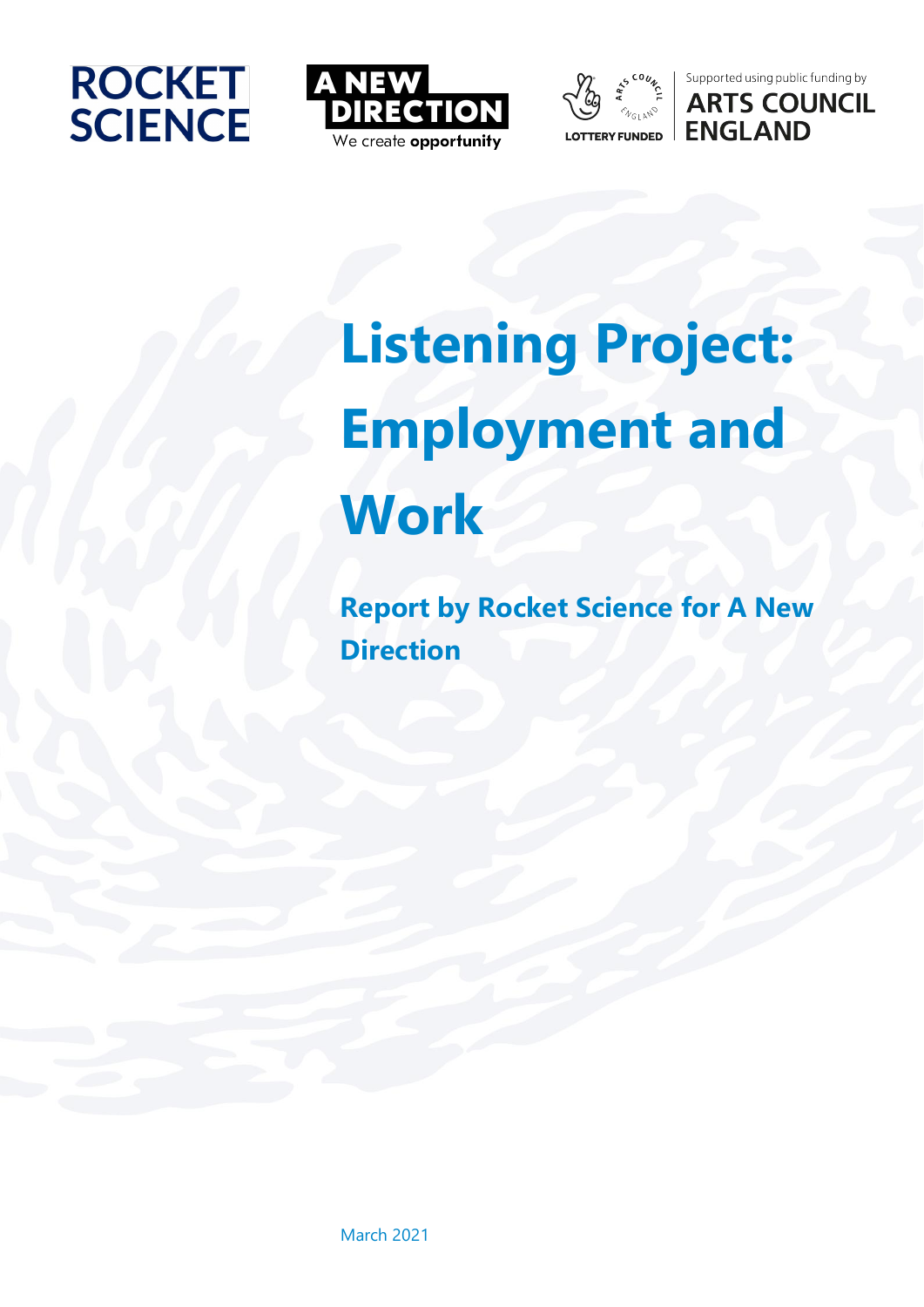







# **Listening Project: Employment and Work**

**Report by Rocket Science for A New Direction**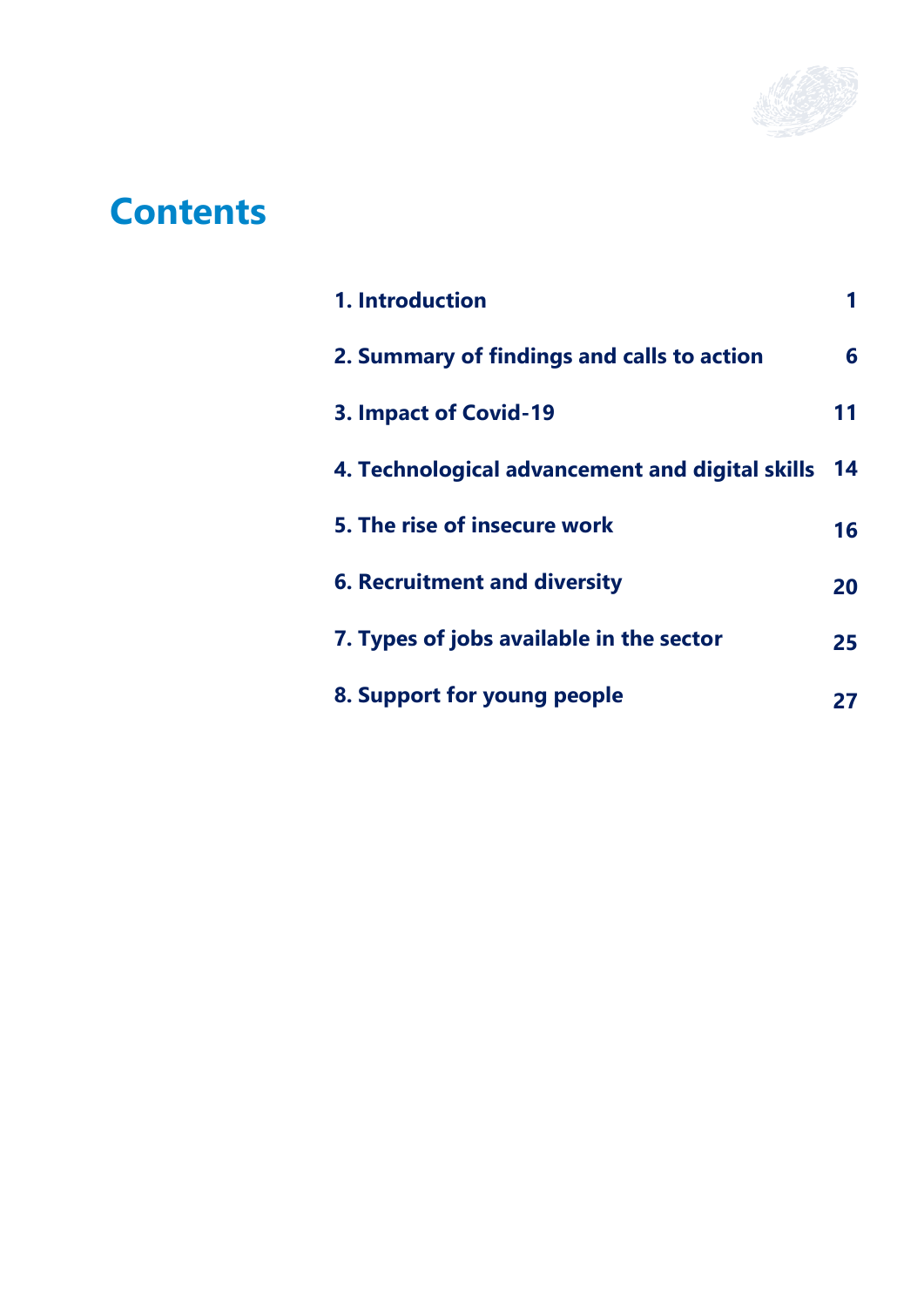

## **Contents**

| 1. Introduction                                 |     |
|-------------------------------------------------|-----|
| 2. Summary of findings and calls to action      | 6   |
| 3. Impact of Covid-19                           | 11  |
| 4. Technological advancement and digital skills | -14 |
| 5. The rise of insecure work                    | 16  |
| <b>6. Recruitment and diversity</b>             | 20  |
| 7. Types of jobs available in the sector        | 25  |
| 8. Support for young people                     | 27  |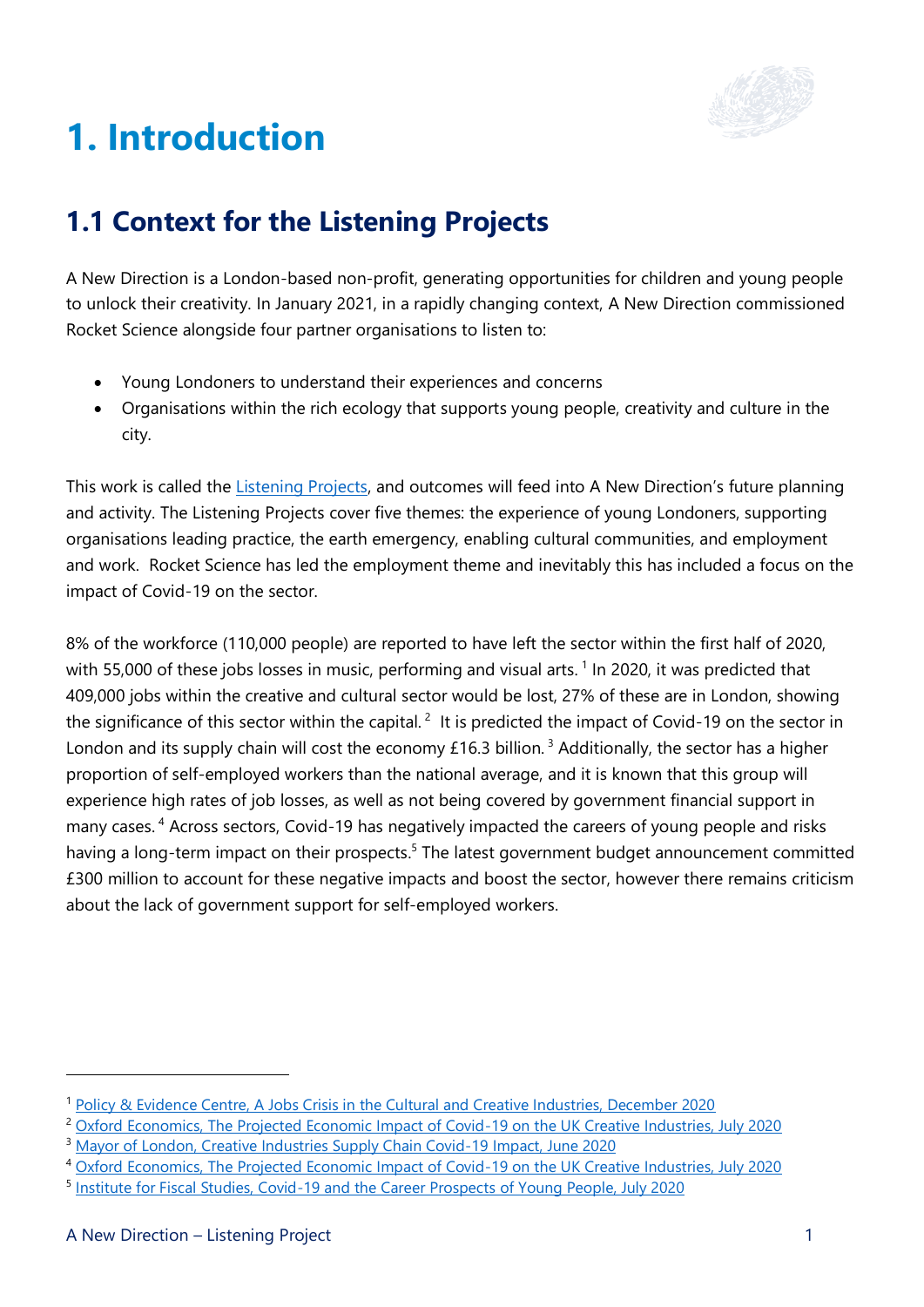

## <span id="page-2-0"></span>**1. Introduction**

## **1.1 Context for the Listening Projects**

A New Direction is a London-based non-profit, generating opportunities for children and young people to unlock their creativity. In January 2021, in a rapidly changing context, A New Direction commissioned Rocket Science alongside four partner organisations to listen to:

- Young Londoners to understand their experiences and concerns
- Organisations within the rich ecology that supports young people, creativity and culture in the city.

This work is called the [Listening Projects,](https://www.anewdirection.org.uk/research/listening-projects) and outcomes will feed into A New Direction's future planning and activity. The Listening Projects cover five themes: the experience of young Londoners, supporting organisations leading practice, the earth emergency, enabling cultural communities, and employment and work. Rocket Science has led the employment theme and inevitably this has included a focus on the impact of Covid-19 on the sector.

8% of the workforce (110,000 people) are reported to have left the sector within the first half of 2020, with 55,000 of these jobs losses in music, performing and visual arts.<sup>1</sup> In 2020, it was predicted that 409,000 jobs within the creative and cultural sector would be lost, 27% of these are in London, showing the significance of this sector within the capital.<sup>2</sup> It is predicted the impact of Covid-19 on the sector in London and its supply chain will cost the economy £16.3 billion.<sup>3</sup> Additionally, the sector has a higher proportion of self-employed workers than the national average, and it is known that this group will experience high rates of job losses, as well as not being covered by government financial support in many cases.<sup>4</sup> Across sectors, Covid-19 has negatively impacted the careers of young people and risks having a long-term impact on their prospects.<sup>5</sup> The latest government budget announcement committed £300 million to account for these negative impacts and boost the sector, however there remains criticism about the lack of government support for self-employed workers.

<sup>1</sup> [Policy & Evidence Centre, A Jobs Crisis in the Cultural and Creative Industries, December 2020](https://pec.ac.uk/blog/how-covid-19-is-impacting-the-cultural-sector-with-the-loss-of-55-000-jobs-in-the-arts#:~:text=The%20impact%20of%20COVID%2D19,cultural%20sector%2C%20has%20been%20significant.&text=A%20collapse%20in%20working%20hours,music%2C%20performing%20and%20visual%20arts)

<sup>&</sup>lt;sup>2</sup> [Oxford Economics, The Projected Economic Impact of Covid-19 on the UK Creative Industries, July 2020](https://www.oxfordeconomics.com/recent-releases/The-Projected-Economic-Impact-of-COVID-19-on-the-UK-Creative-Industries)

<sup>&</sup>lt;sup>3</sup> [Mayor of London, Creative Industries Supply Chain Covid-19 Impact, June 2020](https://www.london.gov.uk/what-we-do/arts-and-culture/cultural-infrastructure-toolbox/creative-industries-supply-chain-covid-19-impact)

<sup>4</sup> [Oxford Economics, The Projected Economic Impact of Covid-19 on the UK Creative Industries, July 2020](https://www.oxfordeconomics.com/recent-releases/The-Projected-Economic-Impact-of-COVID-19-on-the-UK-Creative-Industries)

<sup>&</sup>lt;sup>5</sup> [Institute for Fiscal Studies, Covid-19 and the Career Prospects of Young People, July 2020](https://www.ifs.org.uk/uploads/BN299-COVID-19-and-the-career-prospects-of-young-people-1.pdf)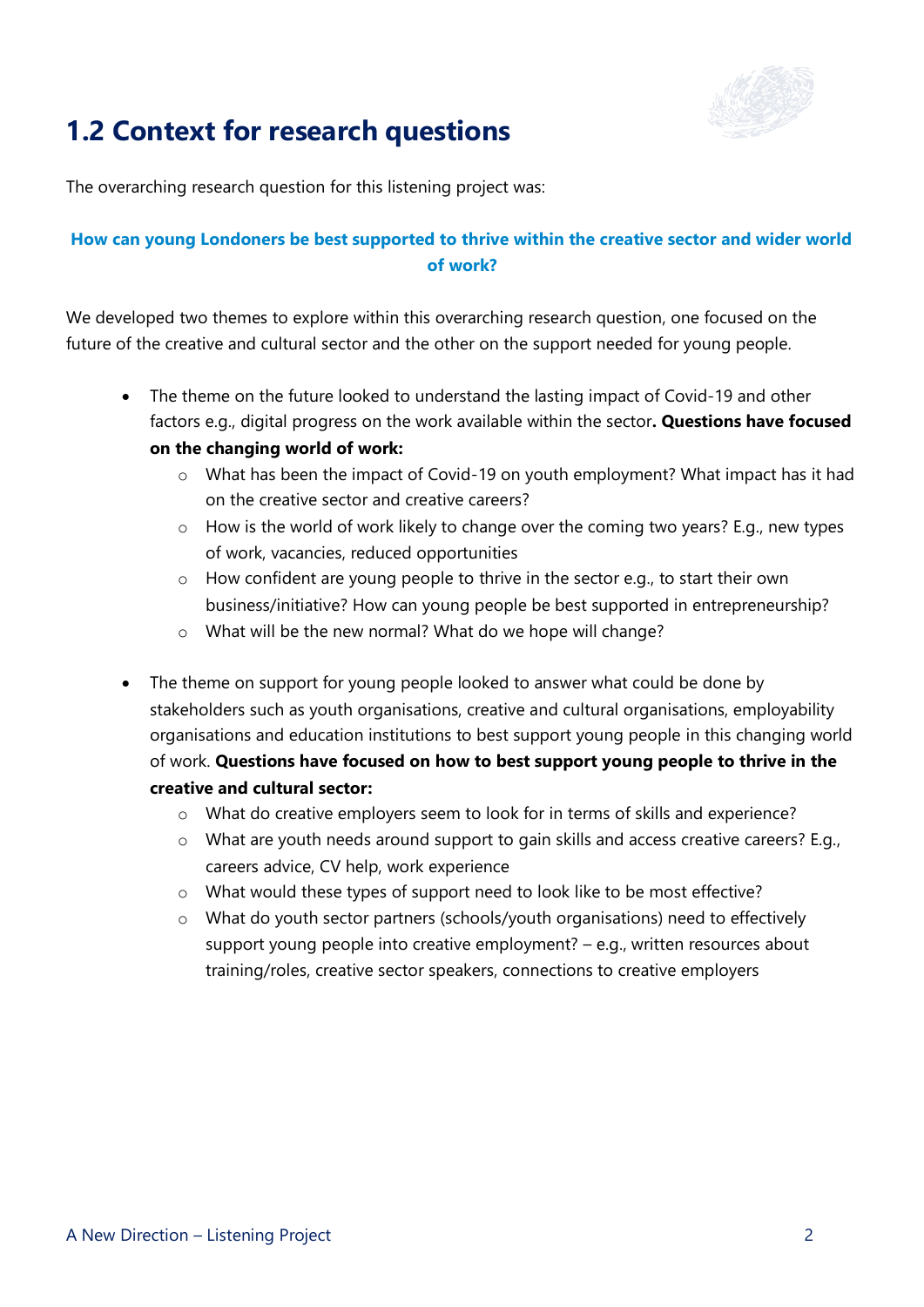

### **1.2 Context for research questions**

The overarching research question for this listening project was:

#### **How can young Londoners be best supported to thrive within the creative sector and wider world of work?**

We developed two themes to explore within this overarching research question, one focused on the future of the creative and cultural sector and the other on the support needed for young people.

- The theme on the future looked to understand the lasting impact of Covid-19 and other factors e.g., digital progress on the work available within the sector**. Questions have focused on the changing world of work:**
	- o What has been the impact of Covid-19 on youth employment? What impact has it had on the creative sector and creative careers?
	- o How is the world of work likely to change over the coming two years? E.g., new types of work, vacancies, reduced opportunities
	- o How confident are young people to thrive in the sector e.g., to start their own business/initiative? How can young people be best supported in entrepreneurship?
	- o What will be the new normal? What do we hope will change?
- The theme on support for young people looked to answer what could be done by stakeholders such as youth organisations, creative and cultural organisations, employability organisations and education institutions to best support young people in this changing world of work. **Questions have focused on how to best support young people to thrive in the creative and cultural sector:**
	- o What do creative employers seem to look for in terms of skills and experience?
	- o What are youth needs around support to gain skills and access creative careers? E.g., careers advice, CV help, work experience
	- $\circ$  What would these types of support need to look like to be most effective?
	- o What do youth sector partners (schools/youth organisations) need to effectively support young people into creative employment? – e.g., written resources about training/roles, creative sector speakers, connections to creative employers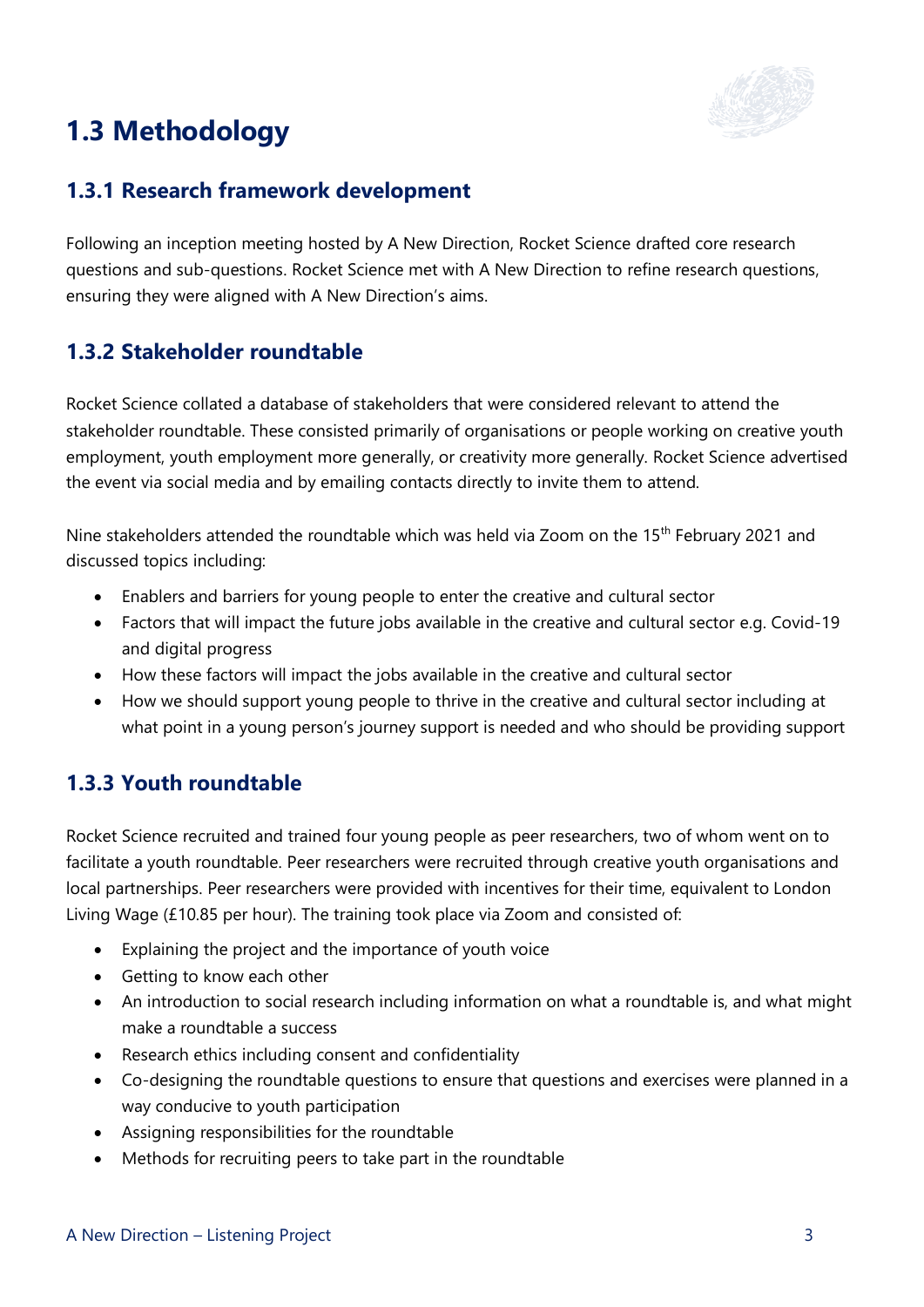## **1.3 Methodology**



#### **1.3.1 Research framework development**

Following an inception meeting hosted by A New Direction, Rocket Science drafted core research questions and sub-questions. Rocket Science met with A New Direction to refine research questions, ensuring they were aligned with A New Direction's aims.

#### **1.3.2 Stakeholder roundtable**

Rocket Science collated a database of stakeholders that were considered relevant to attend the stakeholder roundtable. These consisted primarily of organisations or people working on creative youth employment, youth employment more generally, or creativity more generally. Rocket Science advertised the event via social media and by emailing contacts directly to invite them to attend.

Nine stakeholders attended the roundtable which was held via Zoom on the 15<sup>th</sup> February 2021 and discussed topics including:

- Enablers and barriers for young people to enter the creative and cultural sector
- Factors that will impact the future jobs available in the creative and cultural sector e.g. Covid-19 and digital progress
- How these factors will impact the jobs available in the creative and cultural sector
- How we should support young people to thrive in the creative and cultural sector including at what point in a young person's journey support is needed and who should be providing support

#### **1.3.3 Youth roundtable**

Rocket Science recruited and trained four young people as peer researchers, two of whom went on to facilitate a youth roundtable. Peer researchers were recruited through creative youth organisations and local partnerships. Peer researchers were provided with incentives for their time, equivalent to London Living Wage (£10.85 per hour). The training took place via Zoom and consisted of:

- Explaining the project and the importance of youth voice
- Getting to know each other
- An introduction to social research including information on what a roundtable is, and what might make a roundtable a success
- Research ethics including consent and confidentiality
- Co-designing the roundtable questions to ensure that questions and exercises were planned in a way conducive to youth participation
- Assigning responsibilities for the roundtable
- Methods for recruiting peers to take part in the roundtable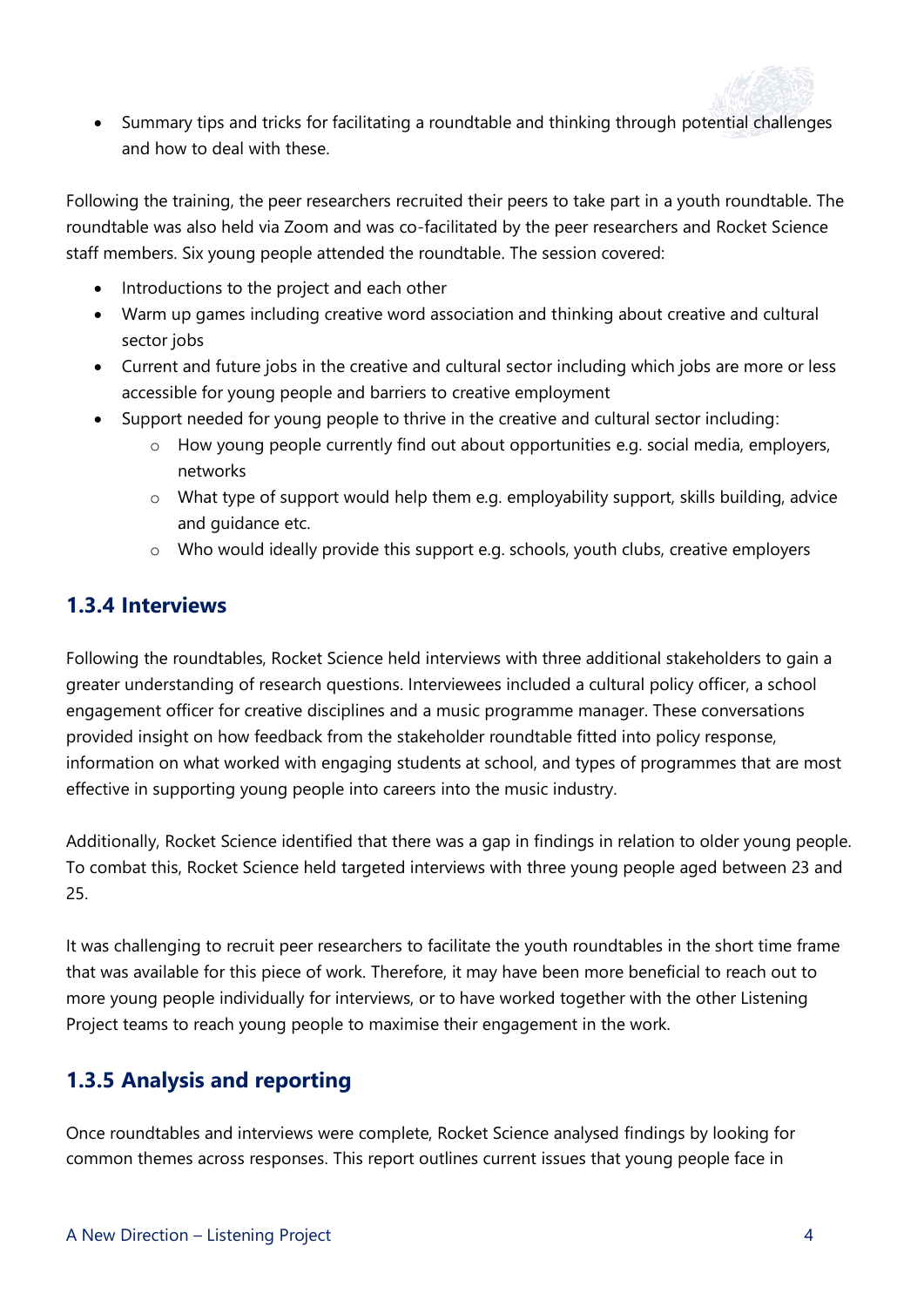

• Summary tips and tricks for facilitating a roundtable and thinking through potential challenges and how to deal with these.

Following the training, the peer researchers recruited their peers to take part in a youth roundtable. The roundtable was also held via Zoom and was co-facilitated by the peer researchers and Rocket Science staff members. Six young people attended the roundtable. The session covered:

- Introductions to the project and each other
- Warm up games including creative word association and thinking about creative and cultural sector jobs
- Current and future jobs in the creative and cultural sector including which jobs are more or less accessible for young people and barriers to creative employment
- Support needed for young people to thrive in the creative and cultural sector including:
	- o How young people currently find out about opportunities e.g. social media, employers, networks
	- o What type of support would help them e.g. employability support, skills building, advice and guidance etc.
	- o Who would ideally provide this support e.g. schools, youth clubs, creative employers

#### **1.3.4 Interviews**

Following the roundtables, Rocket Science held interviews with three additional stakeholders to gain a greater understanding of research questions. Interviewees included a cultural policy officer, a school engagement officer for creative disciplines and a music programme manager. These conversations provided insight on how feedback from the stakeholder roundtable fitted into policy response, information on what worked with engaging students at school, and types of programmes that are most effective in supporting young people into careers into the music industry.

Additionally, Rocket Science identified that there was a gap in findings in relation to older young people. To combat this, Rocket Science held targeted interviews with three young people aged between 23 and 25.

It was challenging to recruit peer researchers to facilitate the youth roundtables in the short time frame that was available for this piece of work. Therefore, it may have been more beneficial to reach out to more young people individually for interviews, or to have worked together with the other Listening Project teams to reach young people to maximise their engagement in the work.

#### **1.3.5 Analysis and reporting**

Once roundtables and interviews were complete, Rocket Science analysed findings by looking for common themes across responses. This report outlines current issues that young people face in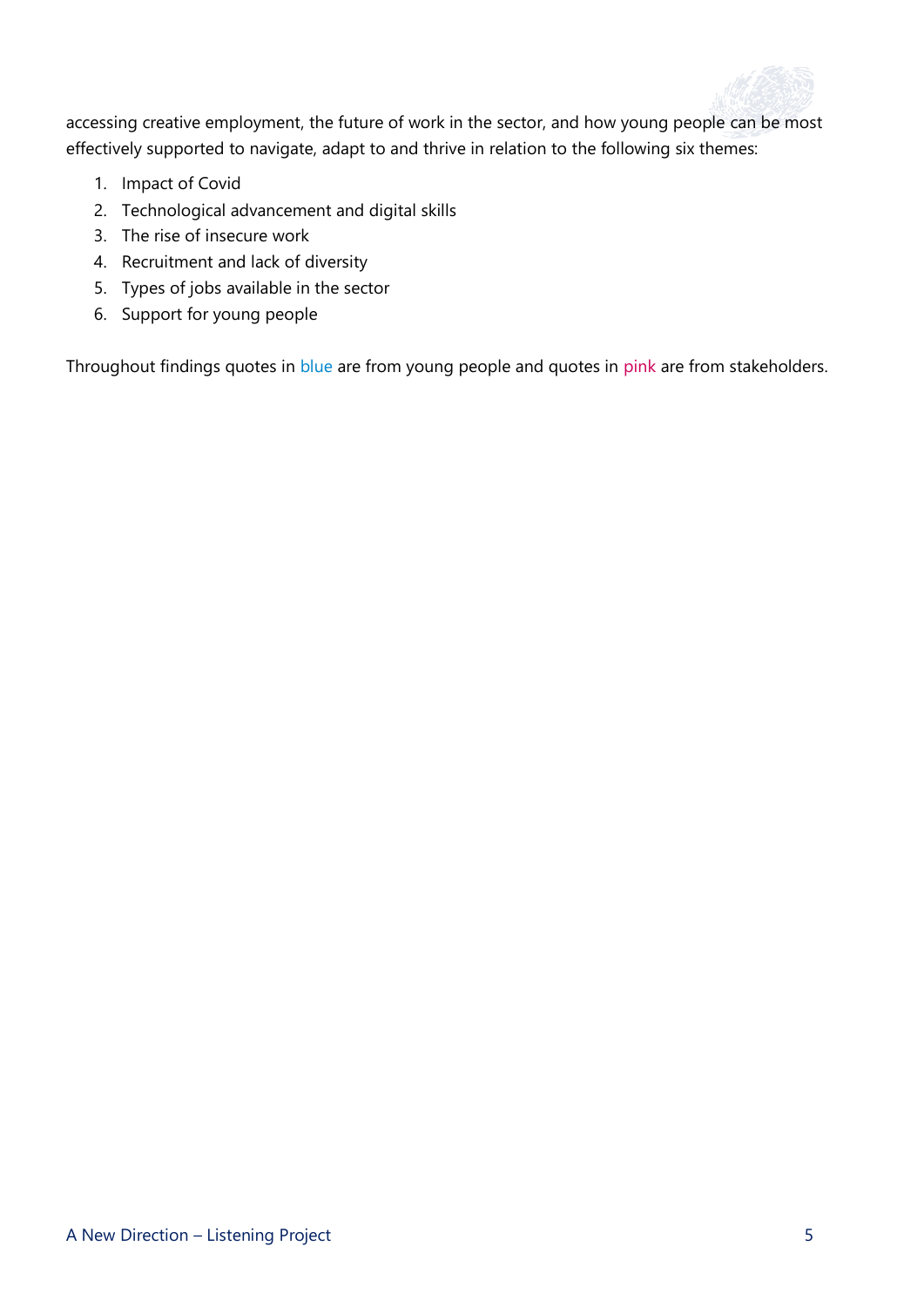

accessing creative employment, the future of work in the sector, and how young people can be most effectively supported to navigate, adapt to and thrive in relation to the following six themes:

- 1. Impact of Covid
- 2. Technological advancement and digital skills
- 3. The rise of insecure work
- 4. Recruitment and lack of diversity
- 5. Types of jobs available in the sector
- 6. Support for young people

Throughout findings quotes in blue are from young people and quotes in pink are from stakeholders.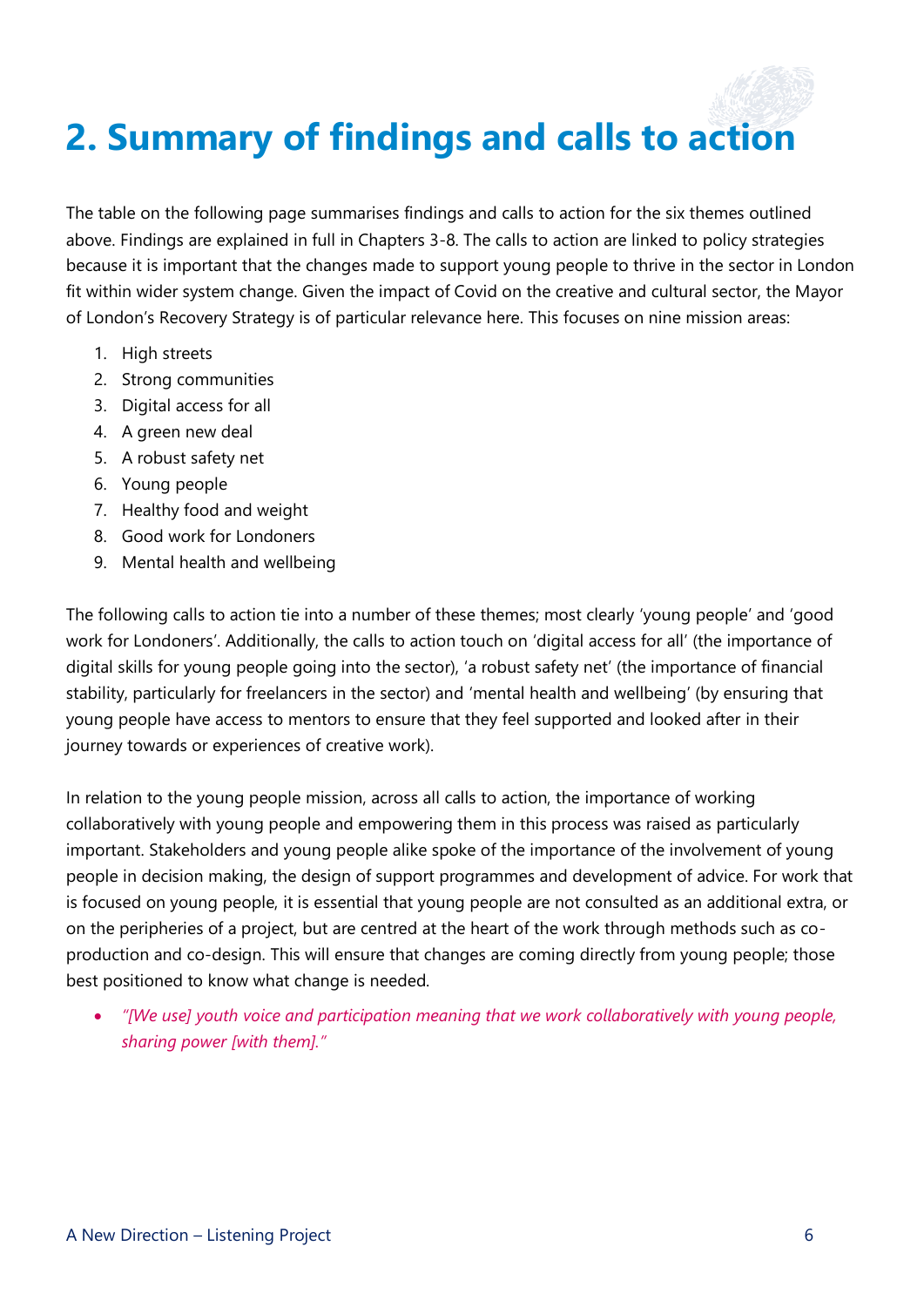## <span id="page-7-0"></span>**2. Summary of findings and calls to action**

The table on the following page summarises findings and calls to action for the six themes outlined above. Findings are explained in full in Chapters 3-8. The calls to action are linked to policy strategies because it is important that the changes made to support young people to thrive in the sector in London fit within wider system change. Given the impact of Covid on the creative and cultural sector, the Mayor of London's Recovery Strategy is of particular relevance here. This focuses on nine mission areas:

- 1. High streets
- 2. Strong communities
- 3. Digital access for all
- 4. A green new deal
- 5. A robust safety net
- 6. Young people
- 7. Healthy food and weight
- 8. Good work for Londoners
- 9. Mental health and wellbeing

The following calls to action tie into a number of these themes; most clearly 'young people' and 'good work for Londoners'. Additionally, the calls to action touch on 'digital access for all' (the importance of digital skills for young people going into the sector), 'a robust safety net' (the importance of financial stability, particularly for freelancers in the sector) and 'mental health and wellbeing' (by ensuring that young people have access to mentors to ensure that they feel supported and looked after in their journey towards or experiences of creative work).

In relation to the young people mission, across all calls to action, the importance of working collaboratively with young people and empowering them in this process was raised as particularly important. Stakeholders and young people alike spoke of the importance of the involvement of young people in decision making, the design of support programmes and development of advice. For work that is focused on young people, it is essential that young people are not consulted as an additional extra, or on the peripheries of a project, but are centred at the heart of the work through methods such as coproduction and co-design. This will ensure that changes are coming directly from young people; those best positioned to know what change is needed.

• *"[We use] youth voice and participation meaning that we work collaboratively with young people, sharing power [with them]."*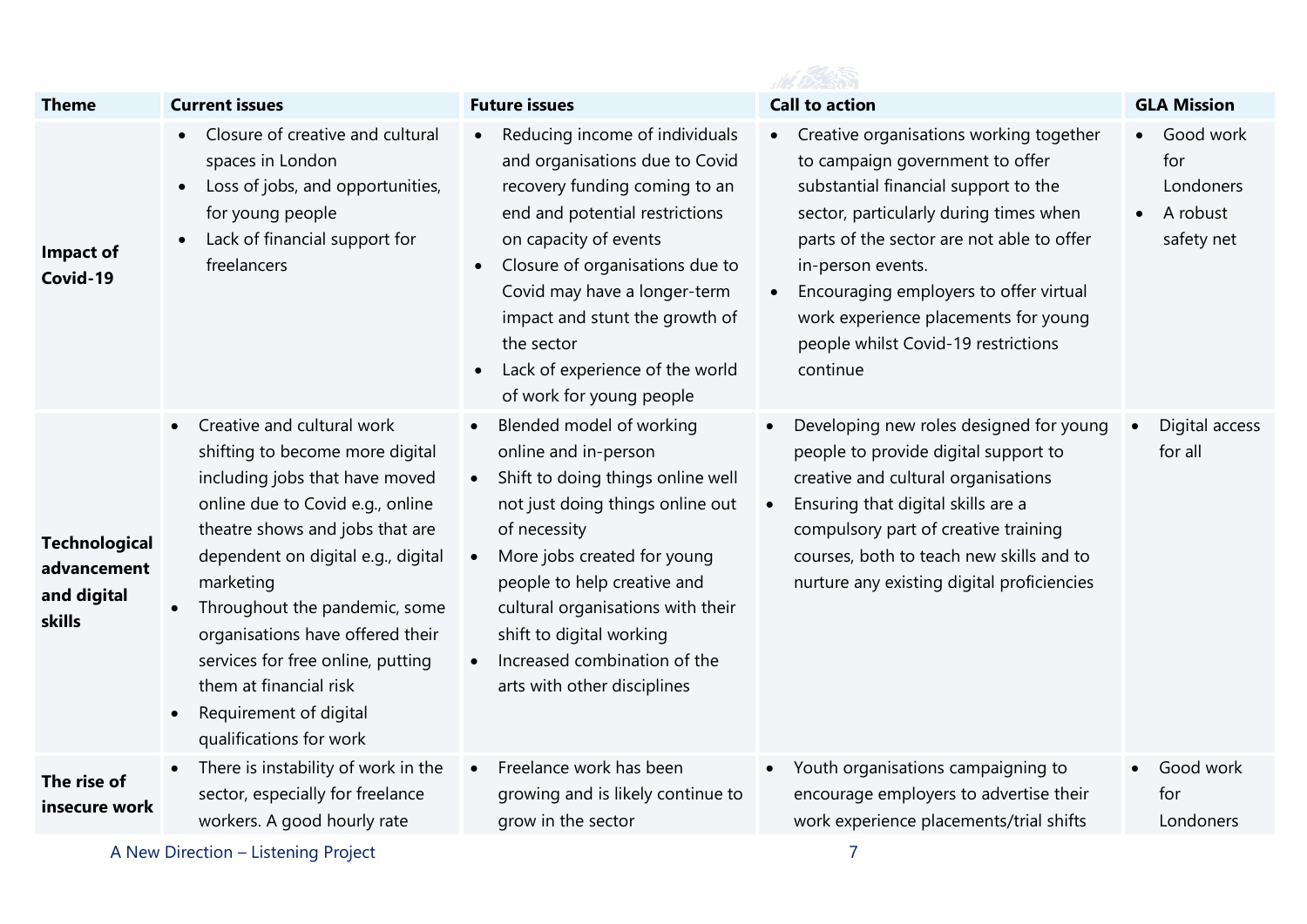| <b>Theme</b>                                                 | <b>Current issues</b>                                                                                                                                                                                                                                                                                                                                                                                                                                     | <b>Future issues</b>                                                                                                                                                                                                                                                                                                                           | <b>Call to action</b>                                                                                                                                                                                                                                                                                                                                               | <b>GLA Mission</b>                                      |
|--------------------------------------------------------------|-----------------------------------------------------------------------------------------------------------------------------------------------------------------------------------------------------------------------------------------------------------------------------------------------------------------------------------------------------------------------------------------------------------------------------------------------------------|------------------------------------------------------------------------------------------------------------------------------------------------------------------------------------------------------------------------------------------------------------------------------------------------------------------------------------------------|---------------------------------------------------------------------------------------------------------------------------------------------------------------------------------------------------------------------------------------------------------------------------------------------------------------------------------------------------------------------|---------------------------------------------------------|
| <b>Impact of</b><br>Covid-19                                 | Closure of creative and cultural<br>spaces in London<br>Loss of jobs, and opportunities,<br>$\bullet$<br>for young people<br>Lack of financial support for<br>freelancers                                                                                                                                                                                                                                                                                 | Reducing income of individuals<br>and organisations due to Covid<br>recovery funding coming to an<br>end and potential restrictions<br>on capacity of events<br>Closure of organisations due to<br>Covid may have a longer-term<br>impact and stunt the growth of<br>the sector<br>Lack of experience of the world<br>of work for young people | Creative organisations working together<br>to campaign government to offer<br>substantial financial support to the<br>sector, particularly during times when<br>parts of the sector are not able to offer<br>in-person events.<br>Encouraging employers to offer virtual<br>work experience placements for young<br>people whilst Covid-19 restrictions<br>continue | Good work<br>for<br>Londoners<br>A robust<br>safety net |
| <b>Technological</b><br>advancement<br>and digital<br>skills | Creative and cultural work<br>$\bullet$<br>shifting to become more digital<br>including jobs that have moved<br>online due to Covid e.g., online<br>theatre shows and jobs that are<br>dependent on digital e.g., digital<br>marketing<br>Throughout the pandemic, some<br>$\bullet$<br>organisations have offered their<br>services for free online, putting<br>them at financial risk<br>Requirement of digital<br>$\bullet$<br>qualifications for work | Blended model of working<br>online and in-person<br>Shift to doing things online well<br>not just doing things online out<br>of necessity<br>More jobs created for young<br>people to help creative and<br>cultural organisations with their<br>shift to digital working<br>Increased combination of the<br>arts with other disciplines        | Developing new roles designed for young<br>people to provide digital support to<br>creative and cultural organisations<br>Ensuring that digital skills are a<br>$\bullet$<br>compulsory part of creative training<br>courses, both to teach new skills and to<br>nurture any existing digital proficiencies                                                         | Digital access<br>for all                               |
| The rise of<br>insecure work                                 | There is instability of work in the<br>$\bullet$<br>sector, especially for freelance<br>workers. A good hourly rate                                                                                                                                                                                                                                                                                                                                       | Freelance work has been<br>growing and is likely continue to<br>grow in the sector                                                                                                                                                                                                                                                             | Youth organisations campaigning to<br>$\bullet$<br>encourage employers to advertise their<br>work experience placements/trial shifts                                                                                                                                                                                                                                | Good work<br>for<br>Londoners                           |
|                                                              | A New Direction - Listening Project                                                                                                                                                                                                                                                                                                                                                                                                                       |                                                                                                                                                                                                                                                                                                                                                | $\overline{7}$                                                                                                                                                                                                                                                                                                                                                      |                                                         |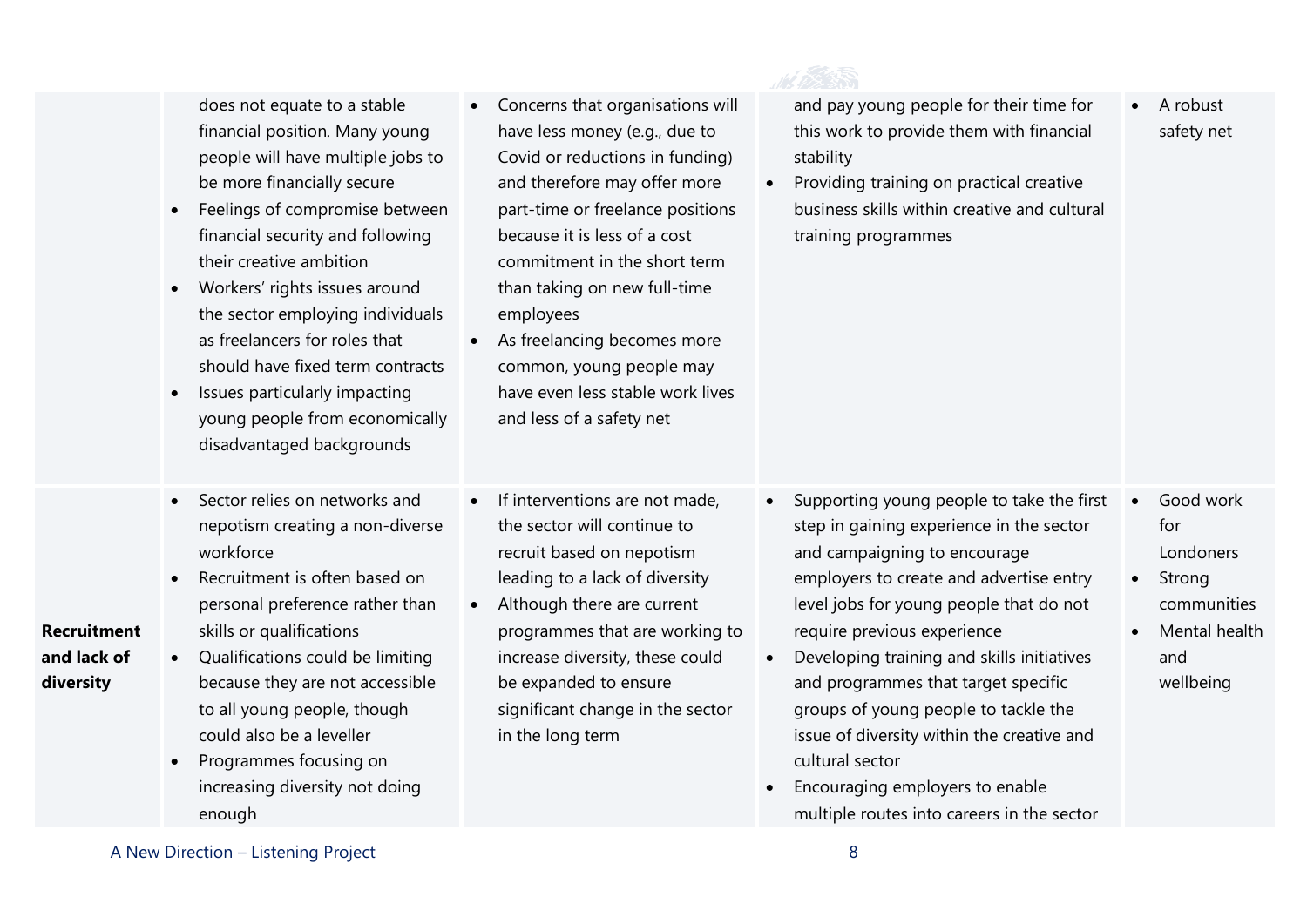|                                                | does not equate to a stable<br>financial position. Many young<br>people will have multiple jobs to<br>be more financially secure<br>Feelings of compromise between<br>$\bullet$<br>financial security and following<br>their creative ambition<br>Workers' rights issues around<br>$\bullet$<br>the sector employing individuals<br>as freelancers for roles that<br>should have fixed term contracts<br>Issues particularly impacting<br>$\bullet$<br>young people from economically<br>disadvantaged backgrounds | Concerns that organisations will<br>$\bullet$<br>have less money (e.g., due to<br>Covid or reductions in funding)<br>and therefore may offer more<br>part-time or freelance positions<br>because it is less of a cost<br>commitment in the short term<br>than taking on new full-time<br>employees<br>As freelancing becomes more<br>common, young people may<br>have even less stable work lives<br>and less of a safety net | and pay young people for their time for<br>this work to provide them with financial<br>stability<br>Providing training on practical creative<br>$\bullet$<br>business skills within creative and cultural<br>training programmes                                                                                                                                                                                                                                                                                                                    | A robust<br>safety net                                                                                   |
|------------------------------------------------|--------------------------------------------------------------------------------------------------------------------------------------------------------------------------------------------------------------------------------------------------------------------------------------------------------------------------------------------------------------------------------------------------------------------------------------------------------------------------------------------------------------------|-------------------------------------------------------------------------------------------------------------------------------------------------------------------------------------------------------------------------------------------------------------------------------------------------------------------------------------------------------------------------------------------------------------------------------|-----------------------------------------------------------------------------------------------------------------------------------------------------------------------------------------------------------------------------------------------------------------------------------------------------------------------------------------------------------------------------------------------------------------------------------------------------------------------------------------------------------------------------------------------------|----------------------------------------------------------------------------------------------------------|
| <b>Recruitment</b><br>and lack of<br>diversity | Sector relies on networks and<br>$\bullet$<br>nepotism creating a non-diverse<br>workforce<br>Recruitment is often based on<br>$\bullet$<br>personal preference rather than<br>skills or qualifications<br>• Qualifications could be limiting<br>because they are not accessible<br>to all young people, though<br>could also be a leveller<br>Programmes focusing on<br>$\bullet$<br>increasing diversity not doing<br>enough                                                                                     | If interventions are not made,<br>$\bullet$<br>the sector will continue to<br>recruit based on nepotism<br>leading to a lack of diversity<br>Although there are current<br>$\bullet$<br>programmes that are working to<br>increase diversity, these could<br>be expanded to ensure<br>significant change in the sector<br>in the long term                                                                                    | Supporting young people to take the first<br>$\bullet$<br>step in gaining experience in the sector<br>and campaigning to encourage<br>employers to create and advertise entry<br>level jobs for young people that do not<br>require previous experience<br>Developing training and skills initiatives<br>$\bullet$<br>and programmes that target specific<br>groups of young people to tackle the<br>issue of diversity within the creative and<br>cultural sector<br>Encouraging employers to enable<br>multiple routes into careers in the sector | Good work<br>for<br>Londoners<br>Strong<br>$\bullet$<br>communities<br>Mental health<br>and<br>wellbeing |

A New Direction – Listening Project 8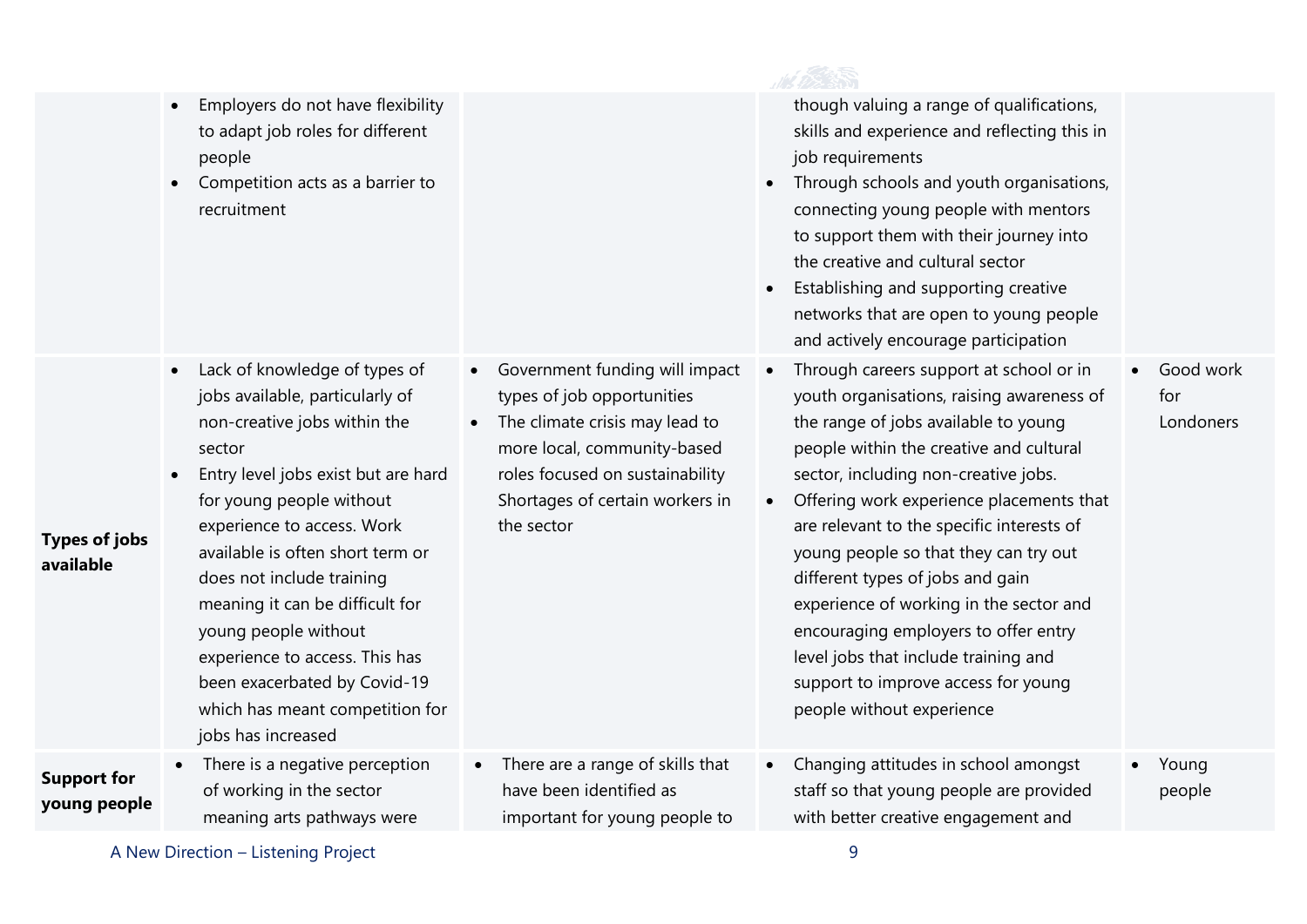|                                    | Employers do not have flexibility<br>to adapt job roles for different<br>people<br>Competition acts as a barrier to<br>recruitment                                                                                                                                                                                                                                                                                                                                              |                                                                                                                                                                                                                                             | though valuing a range of qualifications,<br>skills and experience and reflecting this in<br>job requirements<br>Through schools and youth organisations,<br>$\bullet$<br>connecting young people with mentors<br>to support them with their journey into<br>the creative and cultural sector<br>Establishing and supporting creative<br>$\bullet$<br>networks that are open to young people<br>and actively encourage participation                                                                                                                                                              |                               |
|------------------------------------|---------------------------------------------------------------------------------------------------------------------------------------------------------------------------------------------------------------------------------------------------------------------------------------------------------------------------------------------------------------------------------------------------------------------------------------------------------------------------------|---------------------------------------------------------------------------------------------------------------------------------------------------------------------------------------------------------------------------------------------|---------------------------------------------------------------------------------------------------------------------------------------------------------------------------------------------------------------------------------------------------------------------------------------------------------------------------------------------------------------------------------------------------------------------------------------------------------------------------------------------------------------------------------------------------------------------------------------------------|-------------------------------|
| <b>Types of jobs</b><br>available  | Lack of knowledge of types of<br>$\bullet$<br>jobs available, particularly of<br>non-creative jobs within the<br>sector<br>Entry level jobs exist but are hard<br>for young people without<br>experience to access. Work<br>available is often short term or<br>does not include training<br>meaning it can be difficult for<br>young people without<br>experience to access. This has<br>been exacerbated by Covid-19<br>which has meant competition for<br>jobs has increased | Government funding will impact<br>$\bullet$<br>types of job opportunities<br>The climate crisis may lead to<br>$\bullet$<br>more local, community-based<br>roles focused on sustainability<br>Shortages of certain workers in<br>the sector | Through careers support at school or in<br>youth organisations, raising awareness of<br>the range of jobs available to young<br>people within the creative and cultural<br>sector, including non-creative jobs.<br>Offering work experience placements that<br>$\bullet$<br>are relevant to the specific interests of<br>young people so that they can try out<br>different types of jobs and gain<br>experience of working in the sector and<br>encouraging employers to offer entry<br>level jobs that include training and<br>support to improve access for young<br>people without experience | Good work<br>for<br>Londoners |
| <b>Support for</b><br>young people | There is a negative perception<br>$\bullet$<br>of working in the sector<br>meaning arts pathways were                                                                                                                                                                                                                                                                                                                                                                           | There are a range of skills that<br>have been identified as<br>important for young people to                                                                                                                                                | Changing attitudes in school amongst<br>staff so that young people are provided<br>with better creative engagement and                                                                                                                                                                                                                                                                                                                                                                                                                                                                            | Young<br>people               |
|                                    |                                                                                                                                                                                                                                                                                                                                                                                                                                                                                 |                                                                                                                                                                                                                                             |                                                                                                                                                                                                                                                                                                                                                                                                                                                                                                                                                                                                   |                               |

A New Direction – Listening Project 9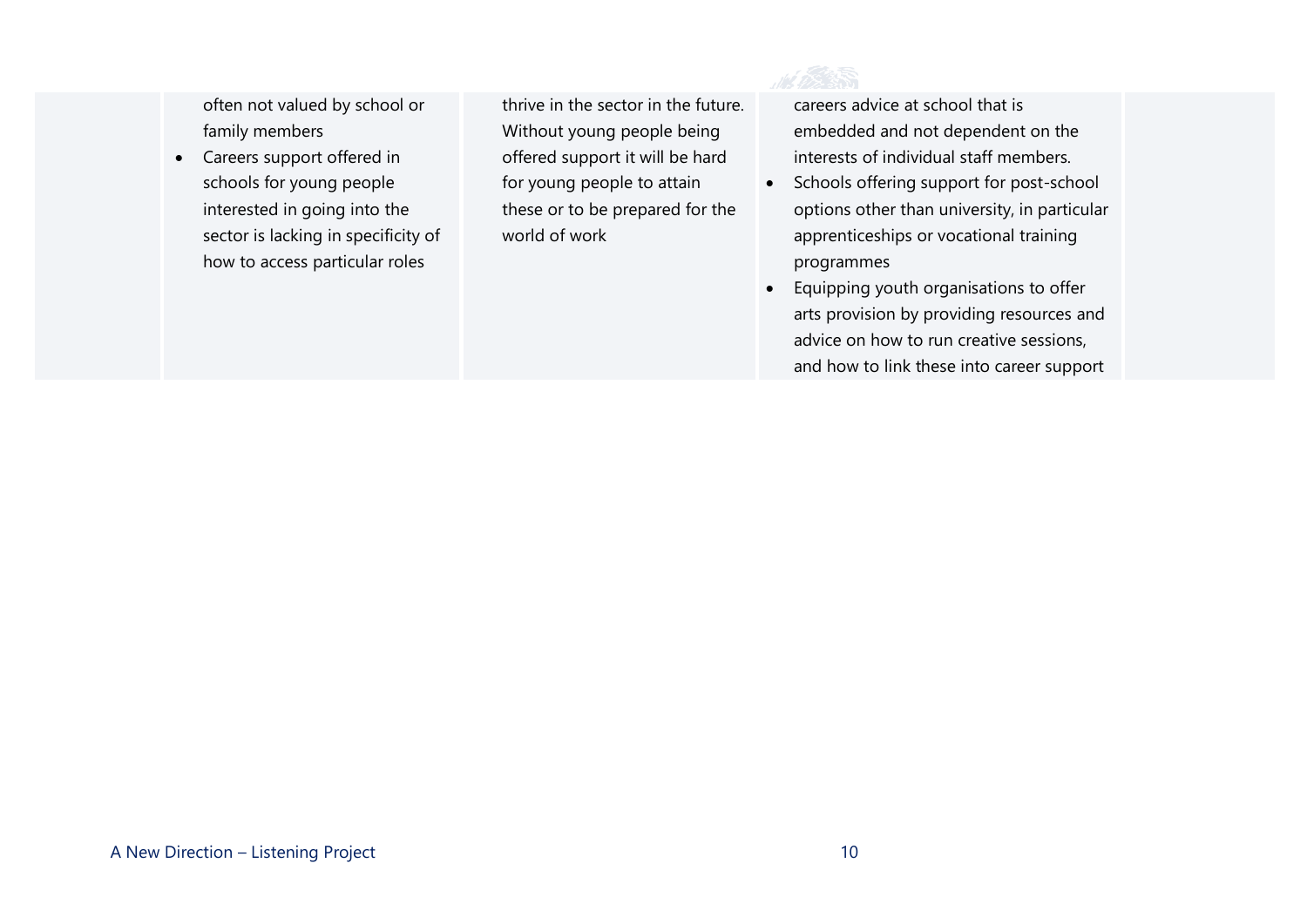often not valued by school or family members

• Careers support offered in schools for young people interested in going into the sector is lacking in specificity of how to access particular roles

thrive in the sector in the future. Without young people being offered support it will be hard for young people to attain these or to be prepared for the world of work



careers advice at school that is embedded and not dependent on the interests of individual staff members.

- Schools offering support for post-school options other than university, in particular apprenticeships or vocational training programmes
- Equipping youth organisations to offer arts provision by providing resources and advice on how to run creative sessions, and how to link these into career support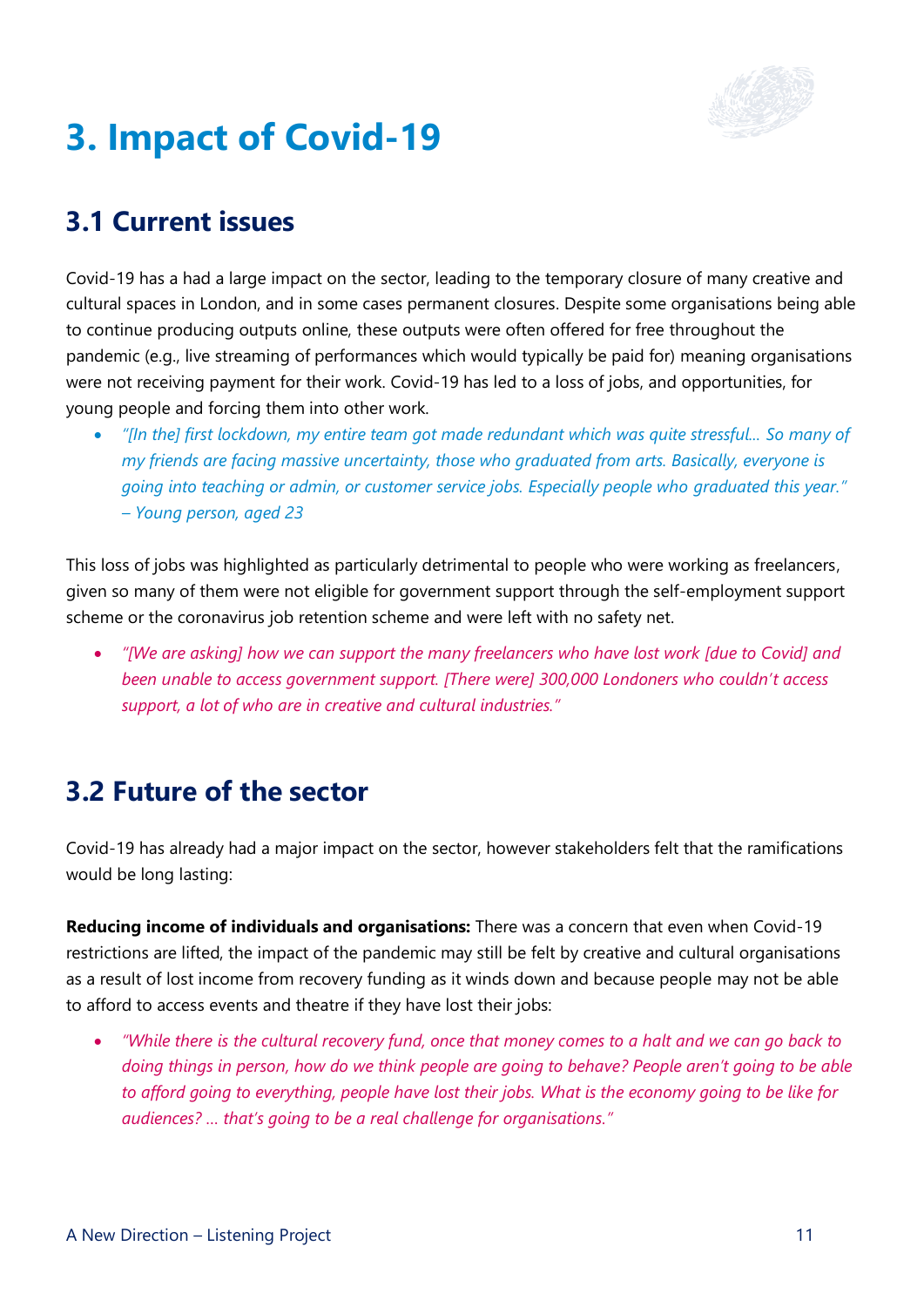

## <span id="page-12-0"></span>**3. Impact of Covid-19**

### **3.1 Current issues**

Covid-19 has a had a large impact on the sector, leading to the temporary closure of many creative and cultural spaces in London, and in some cases permanent closures. Despite some organisations being able to continue producing outputs online, these outputs were often offered for free throughout the pandemic (e.g., live streaming of performances which would typically be paid for) meaning organisations were not receiving payment for their work. Covid-19 has led to a loss of jobs, and opportunities, for young people and forcing them into other work.

• *"[In the] first lockdown, my entire team got made redundant which was quite stressful... So many of my friends are facing massive uncertainty, those who graduated from arts. Basically, everyone is going into teaching or admin, or customer service jobs. Especially people who graduated this year." – Young person, aged 23*

This loss of jobs was highlighted as particularly detrimental to people who were working as freelancers, given so many of them were not eligible for government support through the self-employment support scheme or the coronavirus job retention scheme and were left with no safety net.

• *"[We are asking] how we can support the many freelancers who have lost work [due to Covid] and been unable to access government support. [There were] 300,000 Londoners who couldn't access support, a lot of who are in creative and cultural industries."*

#### **3.2 Future of the sector**

Covid-19 has already had a major impact on the sector, however stakeholders felt that the ramifications would be long lasting:

**Reducing income of individuals and organisations:** There was a concern that even when Covid-19 restrictions are lifted, the impact of the pandemic may still be felt by creative and cultural organisations as a result of lost income from recovery funding as it winds down and because people may not be able to afford to access events and theatre if they have lost their jobs:

• *"While there is the cultural recovery fund, once that money comes to a halt and we can go back to doing things in person, how do we think people are going to behave? People aren't going to be able to afford going to everything, people have lost their jobs. What is the economy going to be like for audiences? … that's going to be a real challenge for organisations."*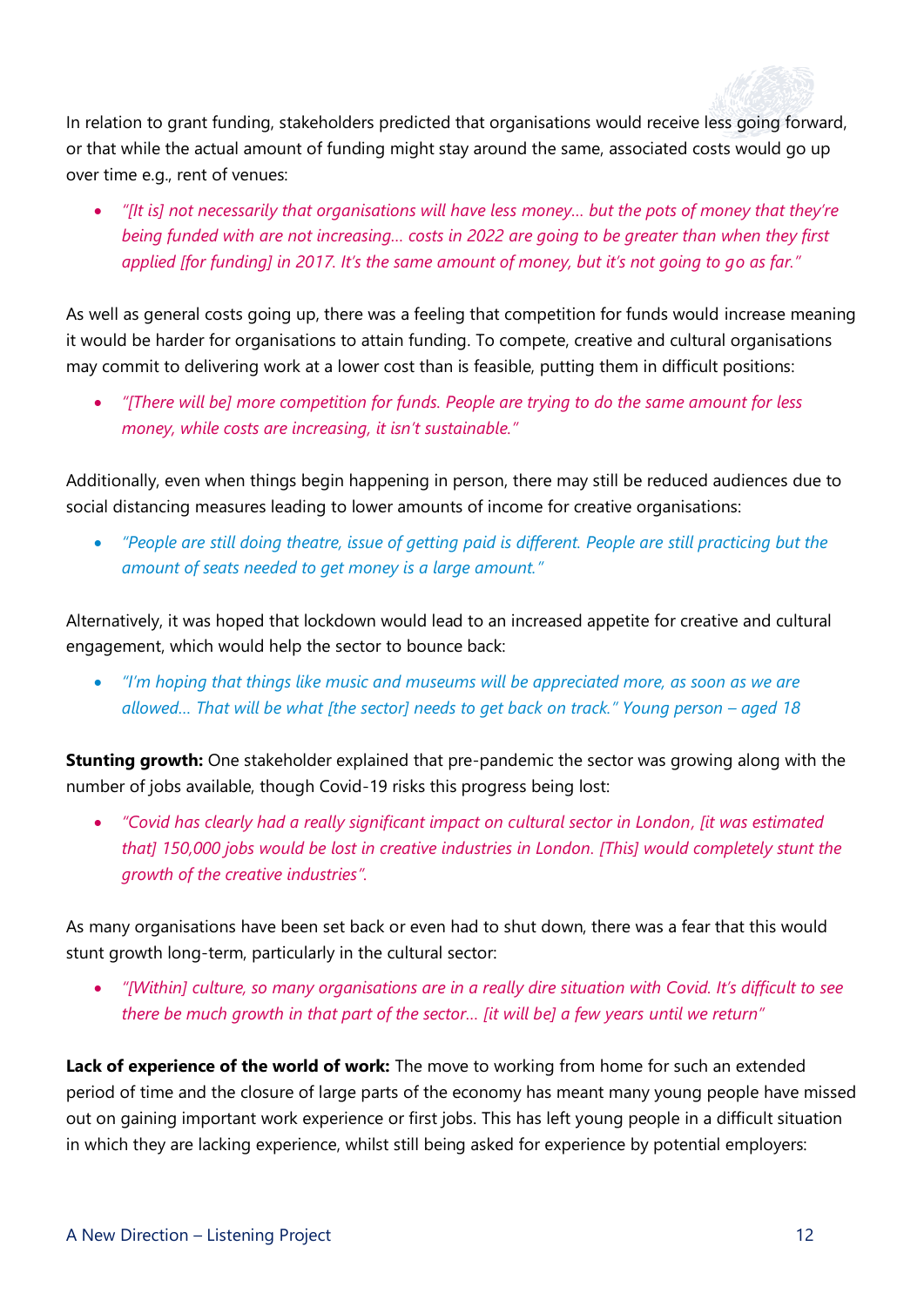

In relation to grant funding, stakeholders predicted that organisations would receive less going forward, or that while the actual amount of funding might stay around the same, associated costs would go up over time e.g., rent of venues:

• *"[It is] not necessarily that organisations will have less money… but the pots of money that they're being funded with are not increasing… costs in 2022 are going to be greater than when they first applied [for funding] in 2017. It's the same amount of money, but it's not going to go as far."*

As well as general costs going up, there was a feeling that competition for funds would increase meaning it would be harder for organisations to attain funding. To compete, creative and cultural organisations may commit to delivering work at a lower cost than is feasible, putting them in difficult positions:

• *"[There will be] more competition for funds. People are trying to do the same amount for less money, while costs are increasing, it isn't sustainable."*

Additionally, even when things begin happening in person, there may still be reduced audiences due to social distancing measures leading to lower amounts of income for creative organisations:

• *"People are still doing theatre, issue of getting paid is different. People are still practicing but the amount of seats needed to get money is a large amount."*

Alternatively, it was hoped that lockdown would lead to an increased appetite for creative and cultural engagement, which would help the sector to bounce back:

• *"I'm hoping that things like music and museums will be appreciated more, as soon as we are allowed… That will be what [the sector] needs to get back on track." Young person – aged 18*

**Stunting growth:** One stakeholder explained that pre-pandemic the sector was growing along with the number of jobs available, though Covid-19 risks this progress being lost:

• *"Covid has clearly had a really significant impact on cultural sector in London, [it was estimated that] 150,000 jobs would be lost in creative industries in London. [This] would completely stunt the growth of the creative industries".*

As many organisations have been set back or even had to shut down, there was a fear that this would stunt growth long-term, particularly in the cultural sector:

• *"[Within] culture, so many organisations are in a really dire situation with Covid. It's difficult to see there be much growth in that part of the sector... [it will be] a few years until we return"* 

**Lack of experience of the world of work:** The move to working from home for such an extended period of time and the closure of large parts of the economy has meant many young people have missed out on gaining important work experience or first jobs. This has left young people in a difficult situation in which they are lacking experience, whilst still being asked for experience by potential employers: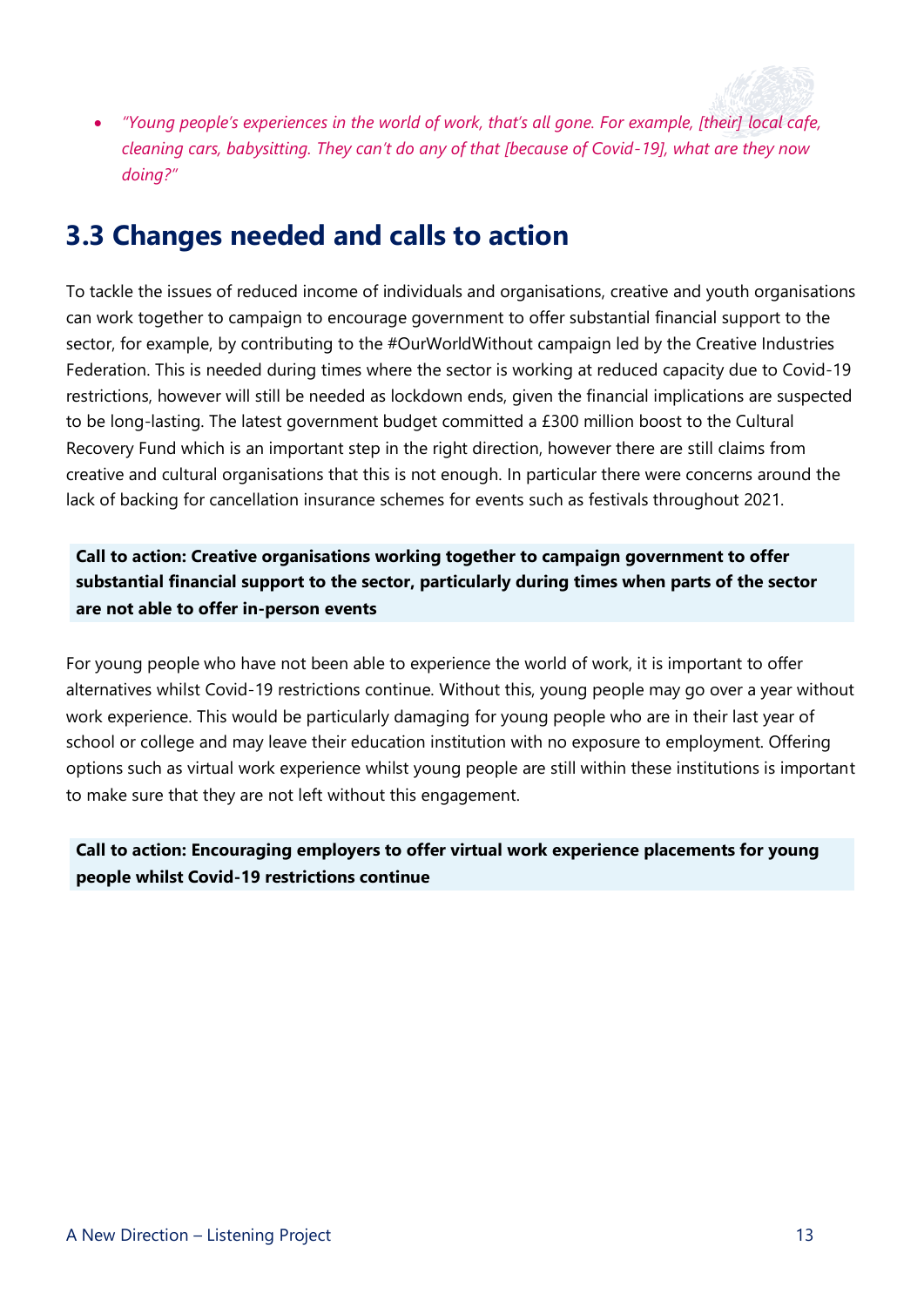

• *"Young people's experiences in the world of work, that's all gone. For example, [their] local cafe, cleaning cars, babysitting. They can't do any of that [because of Covid-19], what are they now doing?"*

#### **3.3 Changes needed and calls to action**

To tackle the issues of reduced income of individuals and organisations, creative and youth organisations can work together to campaign to encourage government to offer substantial financial support to the sector, for example, by contributing to the #OurWorldWithout campaign led by the Creative Industries Federation. This is needed during times where the sector is working at reduced capacity due to Covid-19 restrictions, however will still be needed as lockdown ends, given the financial implications are suspected to be long-lasting. The latest government budget committed a £300 million boost to the Cultural Recovery Fund which is an important step in the right direction, however there are still claims from creative and cultural organisations that this is not enough. In particular there were concerns around the lack of backing for cancellation insurance schemes for events such as festivals throughout 2021.

**Call to action: Creative organisations working together to campaign government to offer substantial financial support to the sector, particularly during times when parts of the sector are not able to offer in-person events**

For young people who have not been able to experience the world of work, it is important to offer alternatives whilst Covid-19 restrictions continue. Without this, young people may go over a year without work experience. This would be particularly damaging for young people who are in their last year of school or college and may leave their education institution with no exposure to employment. Offering options such as virtual work experience whilst young people are still within these institutions is important to make sure that they are not left without this engagement.

**Call to action: Encouraging employers to offer virtual work experience placements for young people whilst Covid-19 restrictions continue**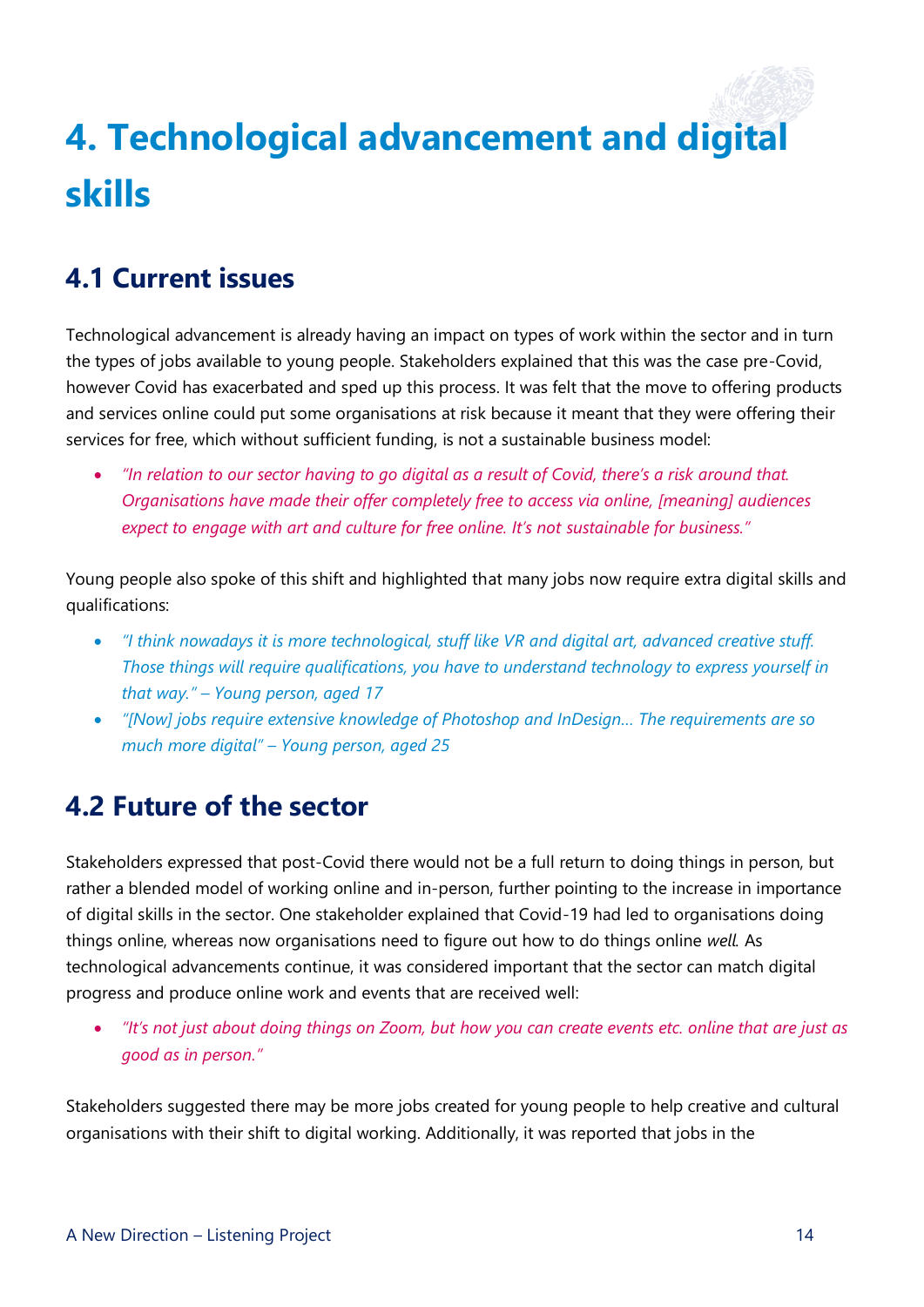## <span id="page-15-0"></span>**4. Technological advancement and digital skills**

### **4.1 Current issues**

Technological advancement is already having an impact on types of work within the sector and in turn the types of jobs available to young people. Stakeholders explained that this was the case pre-Covid, however Covid has exacerbated and sped up this process. It was felt that the move to offering products and services online could put some organisations at risk because it meant that they were offering their services for free, which without sufficient funding, is not a sustainable business model:

• *"In relation to our sector having to go digital as a result of Covid, there's a risk around that. Organisations have made their offer completely free to access via online, [meaning] audiences expect to engage with art and culture for free online. It's not sustainable for business."*

Young people also spoke of this shift and highlighted that many jobs now require extra digital skills and qualifications:

- *"I think nowadays it is more technological, stuff like VR and digital art, advanced creative stuff. Those things will require qualifications, you have to understand technology to express yourself in that way." – Young person, aged 17*
- *"[Now] jobs require extensive knowledge of Photoshop and InDesign… The requirements are so much more digital" – Young person, aged 25*

#### **4.2 Future of the sector**

Stakeholders expressed that post-Covid there would not be a full return to doing things in person, but rather a blended model of working online and in-person, further pointing to the increase in importance of digital skills in the sector. One stakeholder explained that Covid-19 had led to organisations doing things online, whereas now organisations need to figure out how to do things online *well.* As technological advancements continue, it was considered important that the sector can match digital progress and produce online work and events that are received well:

• *"It's not just about doing things on Zoom, but how you can create events etc. online that are just as good as in person."*

Stakeholders suggested there may be more jobs created for young people to help creative and cultural organisations with their shift to digital working. Additionally, it was reported that jobs in the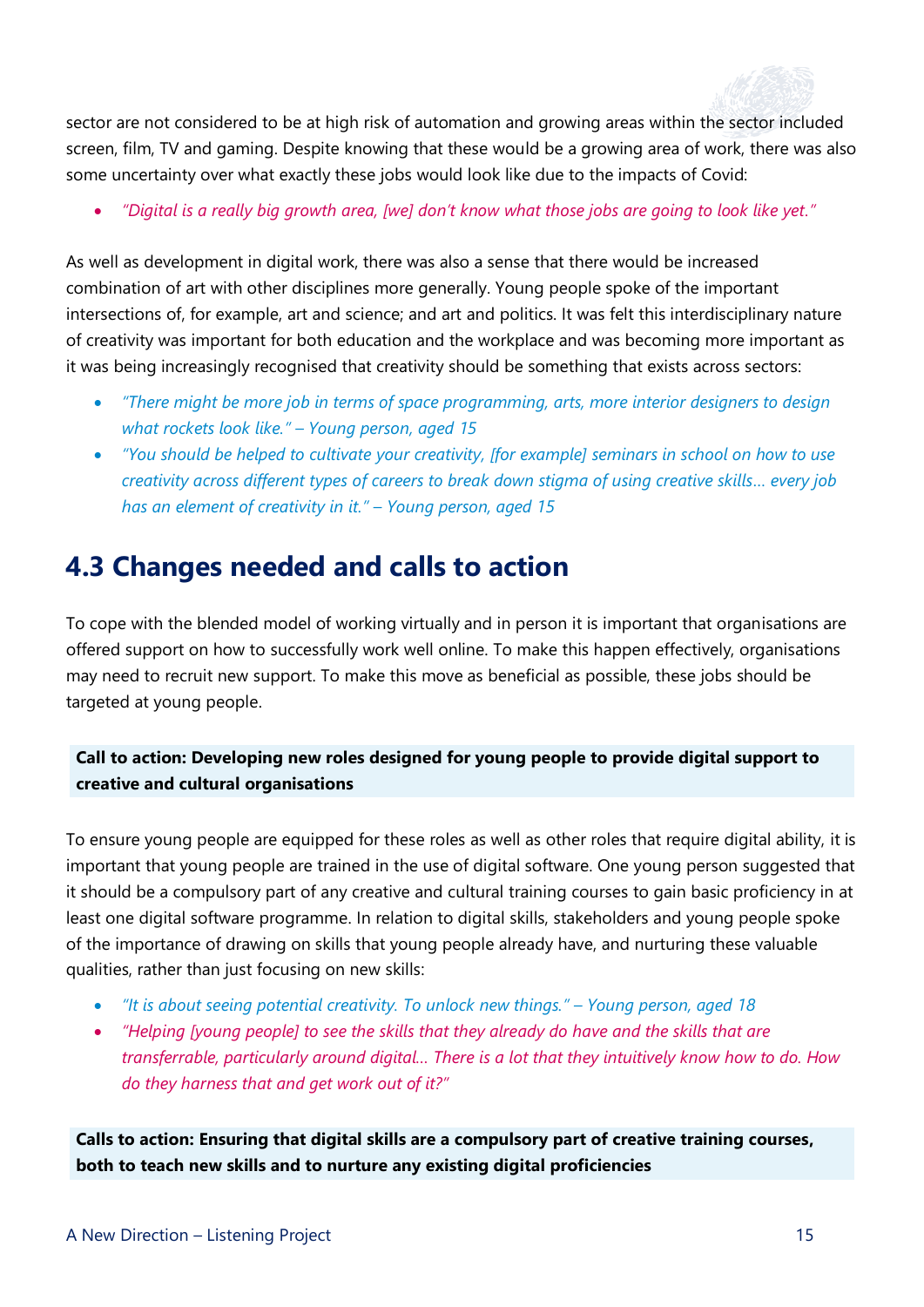

sector are not considered to be at high risk of automation and growing areas within the sector included screen, film, TV and gaming. Despite knowing that these would be a growing area of work, there was also some uncertainty over what exactly these jobs would look like due to the impacts of Covid:

• *"Digital is a really big growth area, [we] don't know what those jobs are going to look like yet."*

As well as development in digital work, there was also a sense that there would be increased combination of art with other disciplines more generally. Young people spoke of the important intersections of, for example, art and science; and art and politics. It was felt this interdisciplinary nature of creativity was important for both education and the workplace and was becoming more important as it was being increasingly recognised that creativity should be something that exists across sectors:

- *"There might be more job in terms of space programming, arts, more interior designers to design what rockets look like." – Young person, aged 15*
- *"You should be helped to cultivate your creativity, [for example] seminars in school on how to use creativity across different types of careers to break down stigma of using creative skills… every job has an element of creativity in it." – Young person, aged 15*

#### **4.3 Changes needed and calls to action**

To cope with the blended model of working virtually and in person it is important that organisations are offered support on how to successfully work well online. To make this happen effectively, organisations may need to recruit new support. To make this move as beneficial as possible, these jobs should be targeted at young people.

#### **Call to action: Developing new roles designed for young people to provide digital support to creative and cultural organisations**

To ensure young people are equipped for these roles as well as other roles that require digital ability, it is important that young people are trained in the use of digital software. One young person suggested that it should be a compulsory part of any creative and cultural training courses to gain basic proficiency in at least one digital software programme. In relation to digital skills, stakeholders and young people spoke of the importance of drawing on skills that young people already have, and nurturing these valuable qualities, rather than just focusing on new skills:

- *"It is about seeing potential creativity. To unlock new things." – Young person, aged 18*
- *"Helping [young people] to see the skills that they already do have and the skills that are transferrable, particularly around digital… There is a lot that they intuitively know how to do. How do they harness that and get work out of it?"*

**Calls to action: Ensuring that digital skills are a compulsory part of creative training courses, both to teach new skills and to nurture any existing digital proficiencies**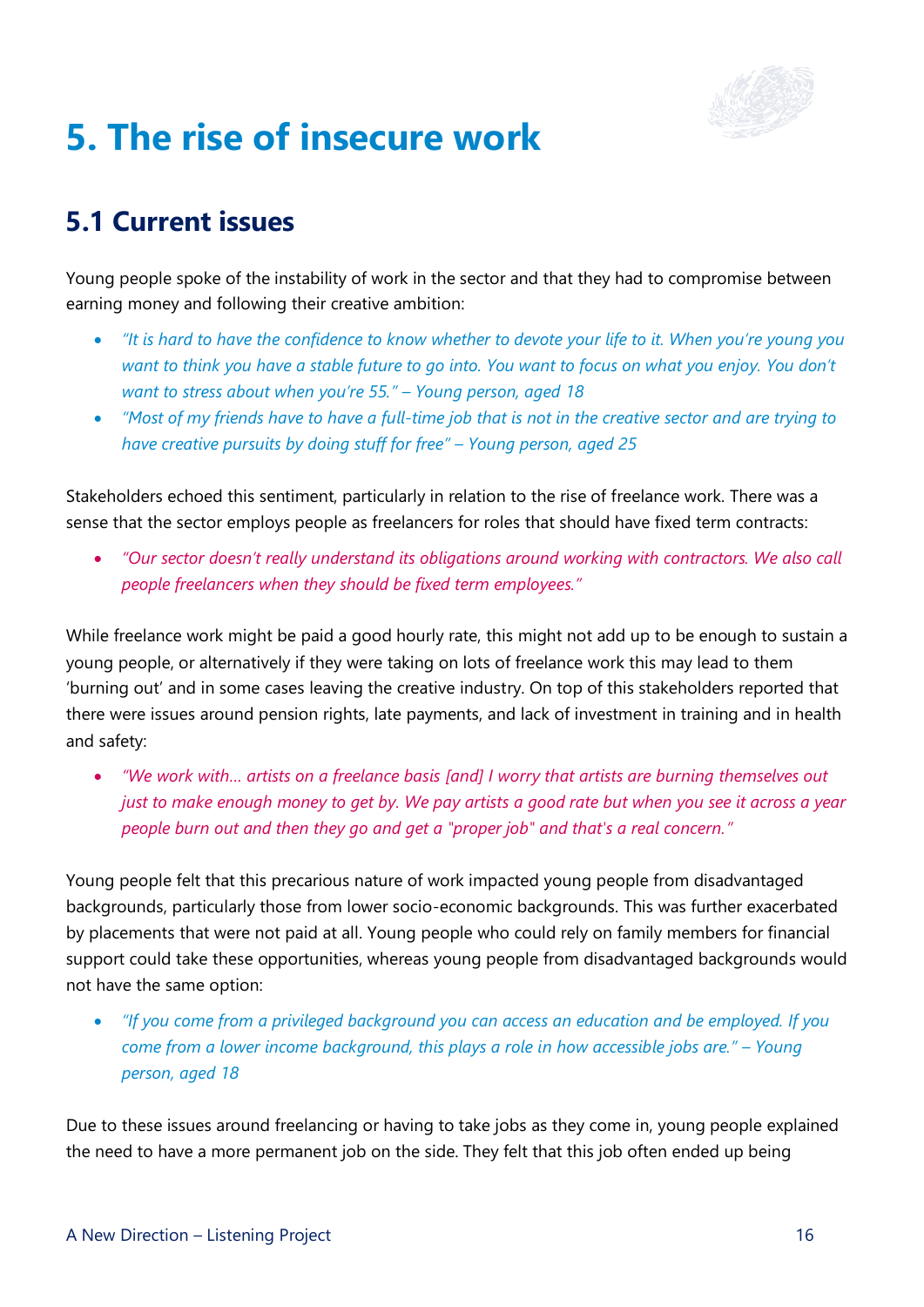

## <span id="page-17-0"></span>**5. The rise of insecure work**

### **5.1 Current issues**

Young people spoke of the instability of work in the sector and that they had to compromise between earning money and following their creative ambition:

- *"It is hard to have the confidence to know whether to devote your life to it. When you're young you want to think you have a stable future to go into. You want to focus on what you enjoy. You don't want to stress about when you're 55." – Young person, aged 18*
- *"Most of my friends have to have a full-time job that is not in the creative sector and are trying to have creative pursuits by doing stuff for free" – Young person, aged 25*

Stakeholders echoed this sentiment, particularly in relation to the rise of freelance work. There was a sense that the sector employs people as freelancers for roles that should have fixed term contracts:

• *"Our sector doesn't really understand its obligations around working with contractors. We also call people freelancers when they should be fixed term employees."*

While freelance work might be paid a good hourly rate, this might not add up to be enough to sustain a young people, or alternatively if they were taking on lots of freelance work this may lead to them 'burning out' and in some cases leaving the creative industry. On top of this stakeholders reported that there were issues around pension rights, late payments, and lack of investment in training and in health and safety:

• *"We work with… artists on a freelance basis [and] I worry that artists are burning themselves out just to make enough money to get by. We pay artists a good rate but when you see it across a year people burn out and then they go and get a "proper job" and that's a real concern."*

Young people felt that this precarious nature of work impacted young people from disadvantaged backgrounds, particularly those from lower socio-economic backgrounds. This was further exacerbated by placements that were not paid at all. Young people who could rely on family members for financial support could take these opportunities, whereas young people from disadvantaged backgrounds would not have the same option:

• *"If you come from a privileged background you can access an education and be employed. If you come from a lower income background, this plays a role in how accessible jobs are." – Young person, aged 18*

Due to these issues around freelancing or having to take jobs as they come in, young people explained the need to have a more permanent job on the side. They felt that this job often ended up being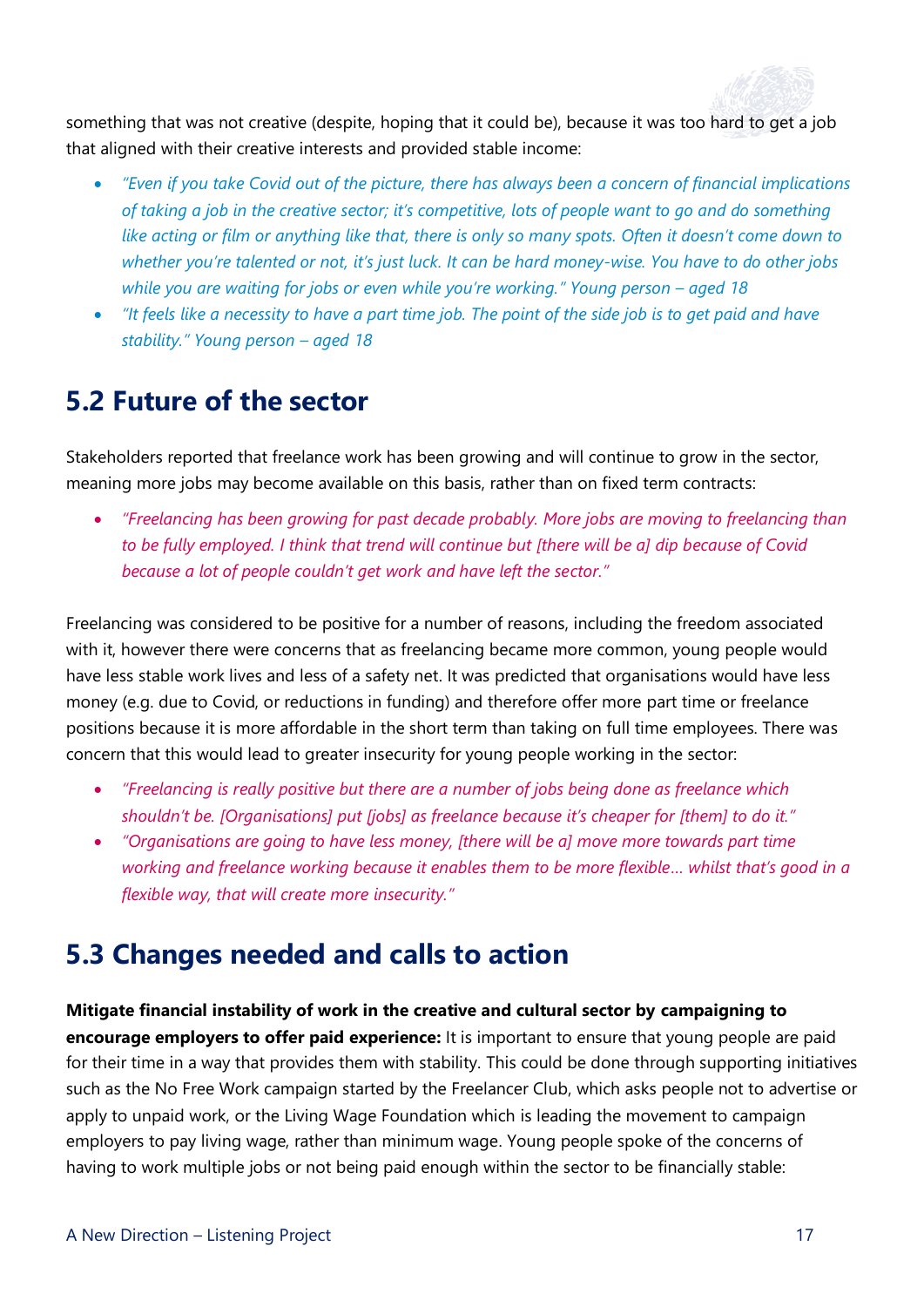

something that was not creative (despite, hoping that it could be), because it was too hard to get a job that aligned with their creative interests and provided stable income:

- *"Even if you take Covid out of the picture, there has always been a concern of financial implications of taking a job in the creative sector; it's competitive, lots of people want to go and do something like acting or film or anything like that, there is only so many spots. Often it doesn't come down to whether you're talented or not, it's just luck. It can be hard money-wise. You have to do other jobs while you are waiting for jobs or even while you're working." Young person – aged 18*
- *"It feels like a necessity to have a part time job. The point of the side job is to get paid and have stability." Young person – aged 18*

#### **5.2 Future of the sector**

Stakeholders reported that freelance work has been growing and will continue to grow in the sector, meaning more jobs may become available on this basis, rather than on fixed term contracts:

• *"Freelancing has been growing for past decade probably. More jobs are moving to freelancing than to be fully employed. I think that trend will continue but [there will be a] dip because of Covid because a lot of people couldn't get work and have left the sector."*

Freelancing was considered to be positive for a number of reasons, including the freedom associated with it, however there were concerns that as freelancing became more common, young people would have less stable work lives and less of a safety net. It was predicted that organisations would have less money (e.g. due to Covid, or reductions in funding) and therefore offer more part time or freelance positions because it is more affordable in the short term than taking on full time employees. There was concern that this would lead to greater insecurity for young people working in the sector:

- *"Freelancing is really positive but there are a number of jobs being done as freelance which shouldn't be. [Organisations] put [jobs] as freelance because it's cheaper for [them] to do it."*
- *"Organisations are going to have less money, [there will be a] move more towards part time working and freelance working because it enables them to be more flexible… whilst that's good in a flexible way, that will create more insecurity."*

#### **5.3 Changes needed and calls to action**

**Mitigate financial instability of work in the creative and cultural sector by campaigning to encourage employers to offer paid experience:** It is important to ensure that young people are paid for their time in a way that provides them with stability. This could be done through supporting initiatives such as the No Free Work campaign started by the Freelancer Club, which asks people not to advertise or apply to unpaid work, or the Living Wage Foundation which is leading the movement to campaign employers to pay living wage, rather than minimum wage. Young people spoke of the concerns of having to work multiple jobs or not being paid enough within the sector to be financially stable: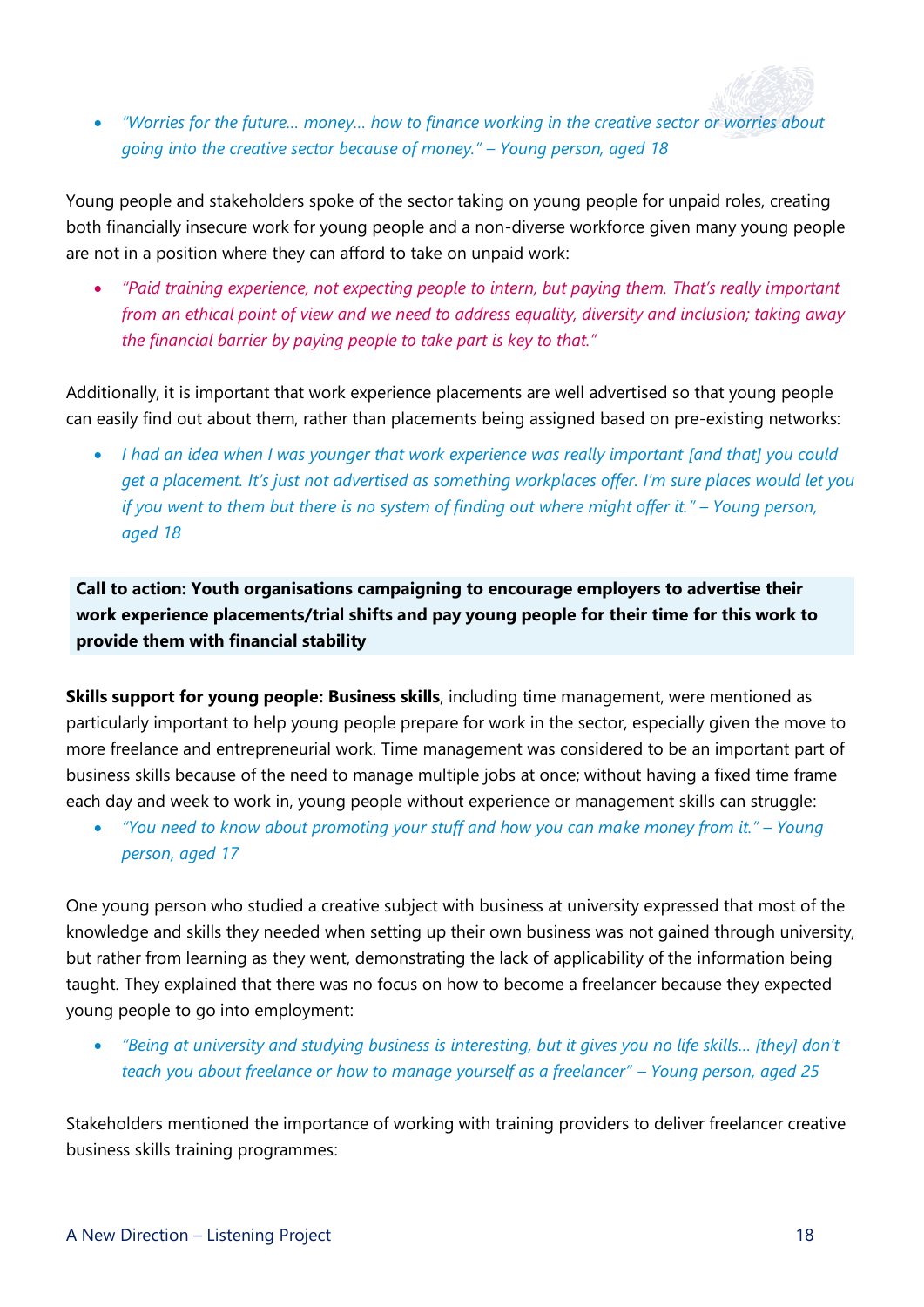

• *"Worries for the future… money… how to finance working in the creative sector or worries about going into the creative sector because of money." – Young person, aged 18*

Young people and stakeholders spoke of the sector taking on young people for unpaid roles, creating both financially insecure work for young people and a non-diverse workforce given many young people are not in a position where they can afford to take on unpaid work:

• *"Paid training experience, not expecting people to intern, but paying them. That's really important from an ethical point of view and we need to address equality, diversity and inclusion; taking away the financial barrier by paying people to take part is key to that."*

Additionally, it is important that work experience placements are well advertised so that young people can easily find out about them, rather than placements being assigned based on pre-existing networks:

• *I had an idea when I was younger that work experience was really important [and that] you could get a placement. It's just not advertised as something workplaces offer. I'm sure places would let you if you went to them but there is no system of finding out where might offer it." – Young person, aged 18*

**Call to action: Youth organisations campaigning to encourage employers to advertise their work experience placements/trial shifts and pay young people for their time for this work to provide them with financial stability**

**Skills support for young people: Business skills**, including time management, were mentioned as particularly important to help young people prepare for work in the sector, especially given the move to more freelance and entrepreneurial work. Time management was considered to be an important part of business skills because of the need to manage multiple jobs at once; without having a fixed time frame each day and week to work in, young people without experience or management skills can struggle:

• *"You need to know about promoting your stuff and how you can make money from it." – Young person, aged 17*

One young person who studied a creative subject with business at university expressed that most of the knowledge and skills they needed when setting up their own business was not gained through university, but rather from learning as they went, demonstrating the lack of applicability of the information being taught. They explained that there was no focus on how to become a freelancer because they expected young people to go into employment:

• *"Being at university and studying business is interesting, but it gives you no life skills… [they] don't teach you about freelance or how to manage yourself as a freelancer" – Young person, aged 25* 

Stakeholders mentioned the importance of working with training providers to deliver freelancer creative business skills training programmes: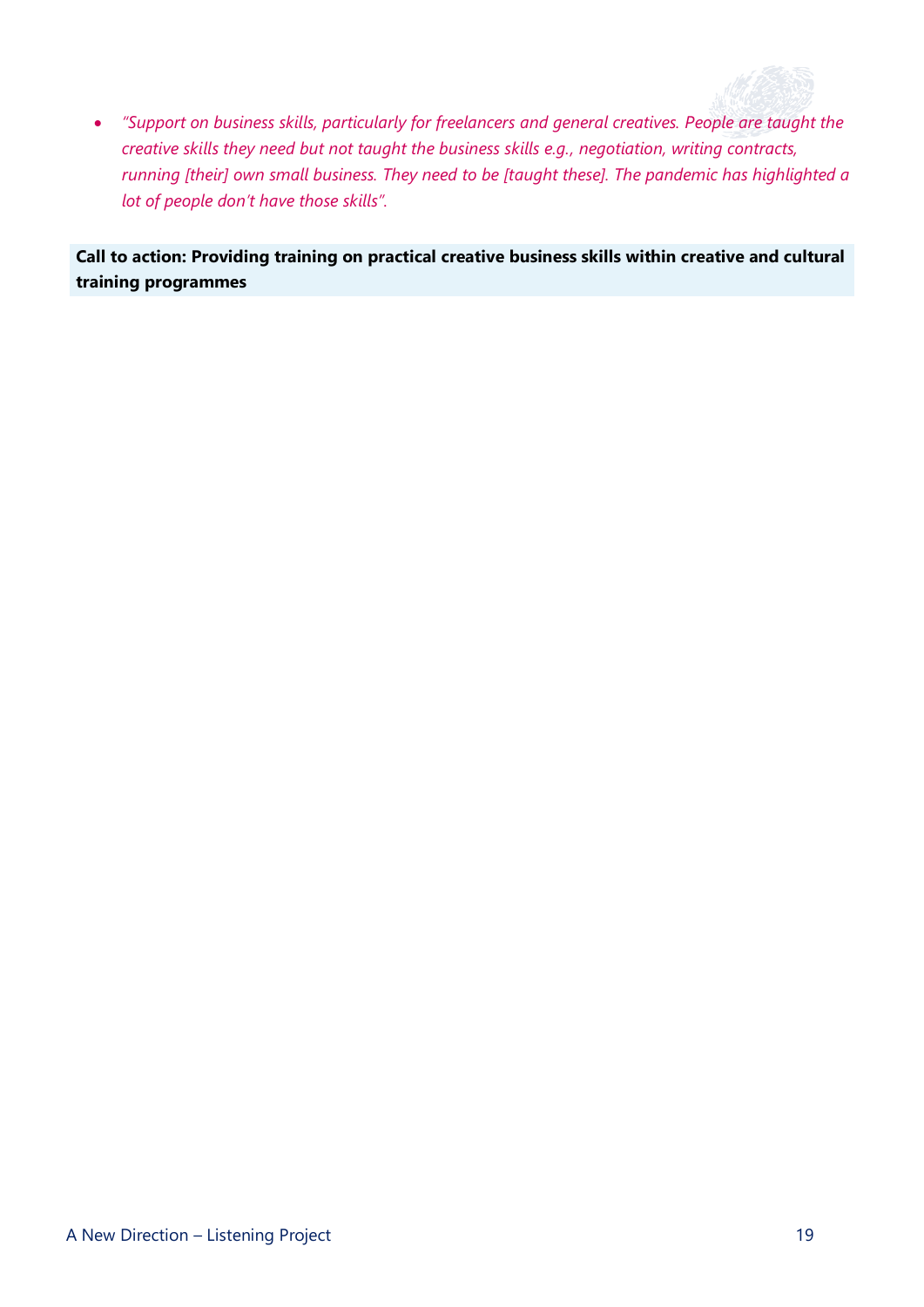

• *"Support on business skills, particularly for freelancers and general creatives. People are taught the creative skills they need but not taught the business skills e.g., negotiation, writing contracts, running [their] own small business. They need to be [taught these]. The pandemic has highlighted a lot of people don't have those skills".*

**Call to action: Providing training on practical creative business skills within creative and cultural training programmes**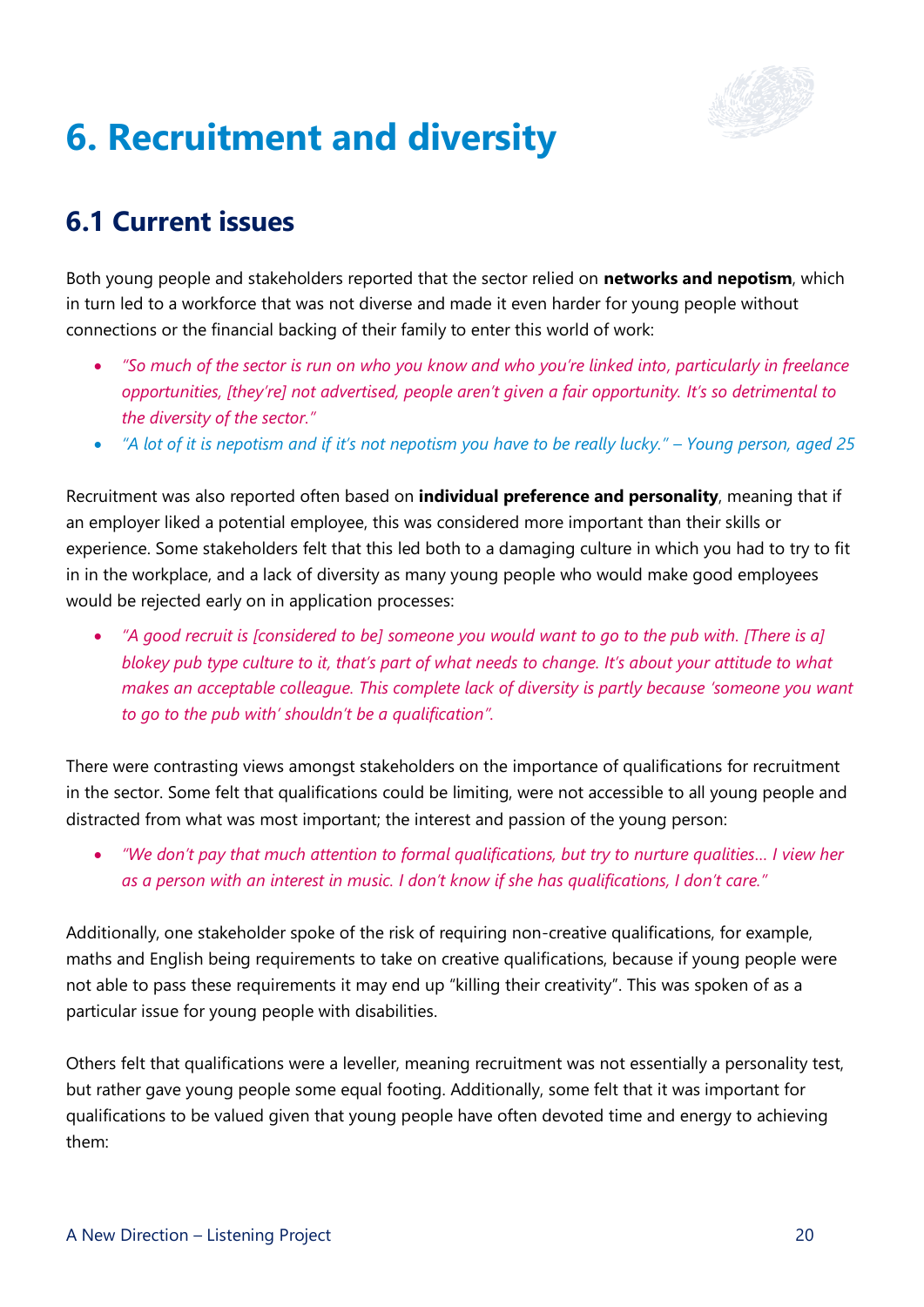

## <span id="page-21-0"></span>**6. Recruitment and diversity**

## **6.1 Current issues**

Both young people and stakeholders reported that the sector relied on **networks and nepotism**, which in turn led to a workforce that was not diverse and made it even harder for young people without connections or the financial backing of their family to enter this world of work:

- *"So much of the sector is run on who you know and who you're linked into, particularly in freelance opportunities, [they're] not advertised, people aren't given a fair opportunity. It's so detrimental to the diversity of the sector."*
- *"A lot of it is nepotism and if it's not nepotism you have to be really lucky." – Young person, aged 25*

Recruitment was also reported often based on **individual preference and personality**, meaning that if an employer liked a potential employee, this was considered more important than their skills or experience. Some stakeholders felt that this led both to a damaging culture in which you had to try to fit in in the workplace, and a lack of diversity as many young people who would make good employees would be rejected early on in application processes:

• *"A good recruit is [considered to be] someone you would want to go to the pub with. [There is a] blokey pub type culture to it, that's part of what needs to change. It's about your attitude to what makes an acceptable colleague. This complete lack of diversity is partly because 'someone you want to go to the pub with' shouldn't be a qualification".*

There were contrasting views amongst stakeholders on the importance of qualifications for recruitment in the sector. Some felt that qualifications could be limiting, were not accessible to all young people and distracted from what was most important; the interest and passion of the young person:

• *"We don't pay that much attention to formal qualifications, but try to nurture qualities… I view her as a person with an interest in music. I don't know if she has qualifications, I don't care."*

Additionally, one stakeholder spoke of the risk of requiring non-creative qualifications, for example, maths and English being requirements to take on creative qualifications, because if young people were not able to pass these requirements it may end up "killing their creativity". This was spoken of as a particular issue for young people with disabilities.

Others felt that qualifications were a leveller, meaning recruitment was not essentially a personality test, but rather gave young people some equal footing. Additionally, some felt that it was important for qualifications to be valued given that young people have often devoted time and energy to achieving them: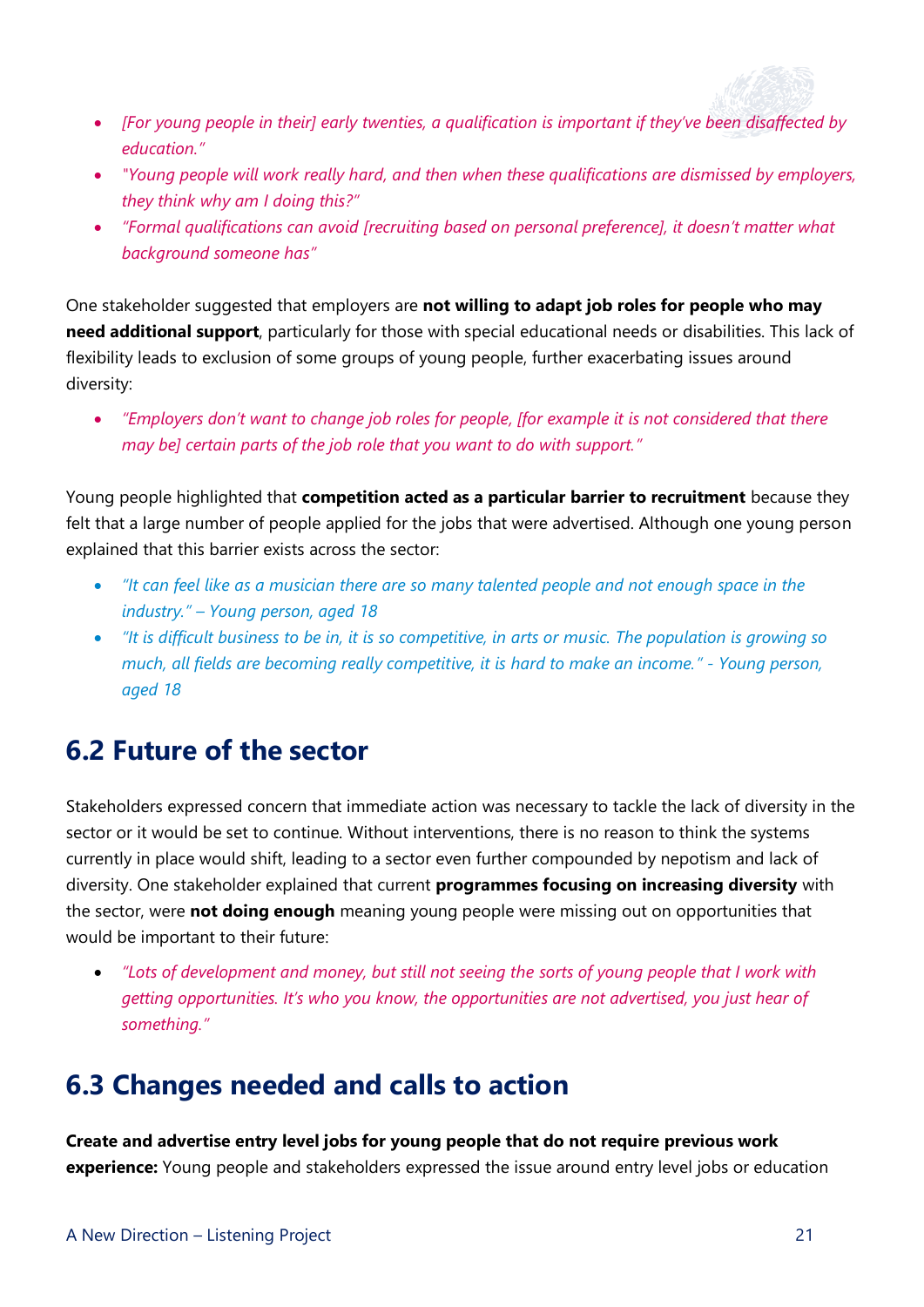

- *[For young people in their] early twenties, a qualification is important if they've been disaffected by education."*
- *"Young people will work really hard, and then when these qualifications are dismissed by employers, they think why am I doing this?"*
- *"Formal qualifications can avoid [recruiting based on personal preference], it doesn't matter what background someone has"*

One stakeholder suggested that employers are **not willing to adapt job roles for people who may need additional support**, particularly for those with special educational needs or disabilities. This lack of flexibility leads to exclusion of some groups of young people, further exacerbating issues around diversity:

• *"Employers don't want to change job roles for people, [for example it is not considered that there may be] certain parts of the job role that you want to do with support."*

Young people highlighted that **competition acted as a particular barrier to recruitment** because they felt that a large number of people applied for the jobs that were advertised. Although one young person explained that this barrier exists across the sector:

- *"It can feel like as a musician there are so many talented people and not enough space in the industry." – Young person, aged 18*
- *"It is difficult business to be in, it is so competitive, in arts or music. The population is growing so much, all fields are becoming really competitive, it is hard to make an income." - Young person, aged 18*

#### **6.2 Future of the sector**

Stakeholders expressed concern that immediate action was necessary to tackle the lack of diversity in the sector or it would be set to continue. Without interventions, there is no reason to think the systems currently in place would shift, leading to a sector even further compounded by nepotism and lack of diversity. One stakeholder explained that current **programmes focusing on increasing diversity** with the sector, were **not doing enough** meaning young people were missing out on opportunities that would be important to their future:

• *"Lots of development and money, but still not seeing the sorts of young people that I work with getting opportunities. It's who you know, the opportunities are not advertised, you just hear of something."*

### **6.3 Changes needed and calls to action**

**Create and advertise entry level jobs for young people that do not require previous work experience:** Young people and stakeholders expressed the issue around entry level jobs or education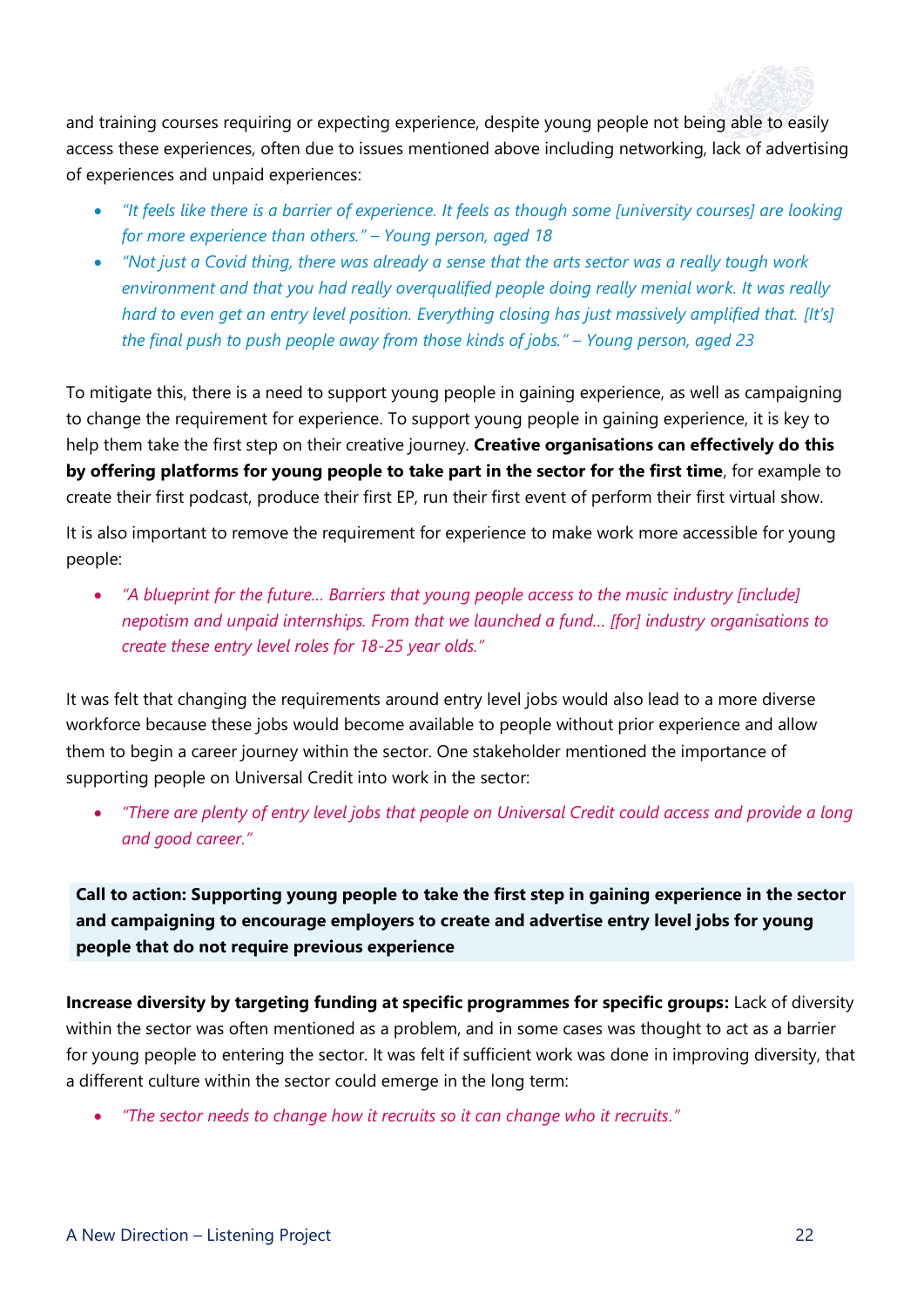

and training courses requiring or expecting experience, despite young people not being able to easily access these experiences, often due to issues mentioned above including networking, lack of advertising of experiences and unpaid experiences:

- *"It feels like there is a barrier of experience. It feels as though some [university courses] are looking for more experience than others." – Young person, aged 18*
- *"Not just a Covid thing, there was already a sense that the arts sector was a really tough work environment and that you had really overqualified people doing really menial work. It was really hard to even get an entry level position. Everything closing has just massively amplified that. [It's] the final push to push people away from those kinds of jobs." – Young person, aged 23*

To mitigate this, there is a need to support young people in gaining experience, as well as campaigning to change the requirement for experience. To support young people in gaining experience, it is key to help them take the first step on their creative journey. **Creative organisations can effectively do this by offering platforms for young people to take part in the sector for the first time**, for example to create their first podcast, produce their first EP, run their first event of perform their first virtual show.

It is also important to remove the requirement for experience to make work more accessible for young people:

• *"A blueprint for the future… Barriers that young people access to the music industry [include] nepotism and unpaid internships. From that we launched a fund… [for] industry organisations to create these entry level roles for 18-25 year olds."*

It was felt that changing the requirements around entry level jobs would also lead to a more diverse workforce because these jobs would become available to people without prior experience and allow them to begin a career journey within the sector. One stakeholder mentioned the importance of supporting people on Universal Credit into work in the sector:

• *"There are plenty of entry level jobs that people on Universal Credit could access and provide a long and good career."*

**Call to action: Supporting young people to take the first step in gaining experience in the sector and campaigning to encourage employers to create and advertise entry level jobs for young people that do not require previous experience**

**Increase diversity by targeting funding at specific programmes for specific groups:** Lack of diversity within the sector was often mentioned as a problem, and in some cases was thought to act as a barrier for young people to entering the sector. It was felt if sufficient work was done in improving diversity, that a different culture within the sector could emerge in the long term:

• *"The sector needs to change how it recruits so it can change who it recruits."*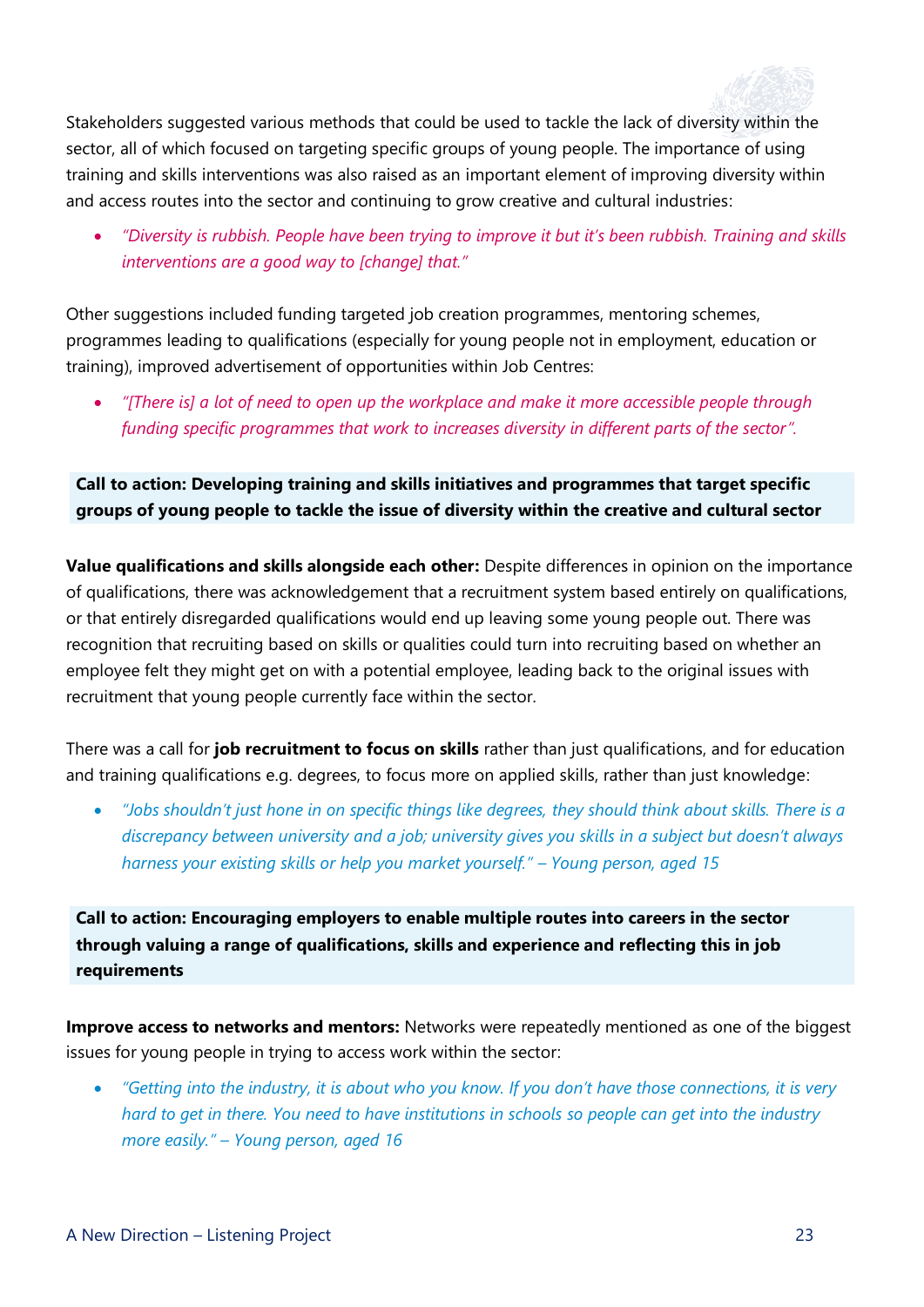

Stakeholders suggested various methods that could be used to tackle the lack of diversity within the sector, all of which focused on targeting specific groups of young people. The importance of using training and skills interventions was also raised as an important element of improving diversity within and access routes into the sector and continuing to grow creative and cultural industries:

• *"Diversity is rubbish. People have been trying to improve it but it's been rubbish. Training and skills interventions are a good way to [change] that."*

Other suggestions included funding targeted job creation programmes, mentoring schemes, programmes leading to qualifications (especially for young people not in employment, education or training), improved advertisement of opportunities within Job Centres:

• *"[There is] a lot of need to open up the workplace and make it more accessible people through funding specific programmes that work to increases diversity in different parts of the sector".*

**Call to action: Developing training and skills initiatives and programmes that target specific groups of young people to tackle the issue of diversity within the creative and cultural sector**

**Value qualifications and skills alongside each other:** Despite differences in opinion on the importance of qualifications, there was acknowledgement that a recruitment system based entirely on qualifications, or that entirely disregarded qualifications would end up leaving some young people out. There was recognition that recruiting based on skills or qualities could turn into recruiting based on whether an employee felt they might get on with a potential employee, leading back to the original issues with recruitment that young people currently face within the sector.

There was a call for **job recruitment to focus on skills** rather than just qualifications, and for education and training qualifications e.g. degrees, to focus more on applied skills, rather than just knowledge:

• *"Jobs shouldn't just hone in on specific things like degrees, they should think about skills. There is a discrepancy between university and a job; university gives you skills in a subject but doesn't always harness your existing skills or help you market yourself." – Young person, aged 15*

**Call to action: Encouraging employers to enable multiple routes into careers in the sector through valuing a range of qualifications, skills and experience and reflecting this in job requirements**

**Improve access to networks and mentors:** Networks were repeatedly mentioned as one of the biggest issues for young people in trying to access work within the sector:

• *"Getting into the industry, it is about who you know. If you don't have those connections, it is very hard to get in there. You need to have institutions in schools so people can get into the industry more easily." – Young person, aged 16*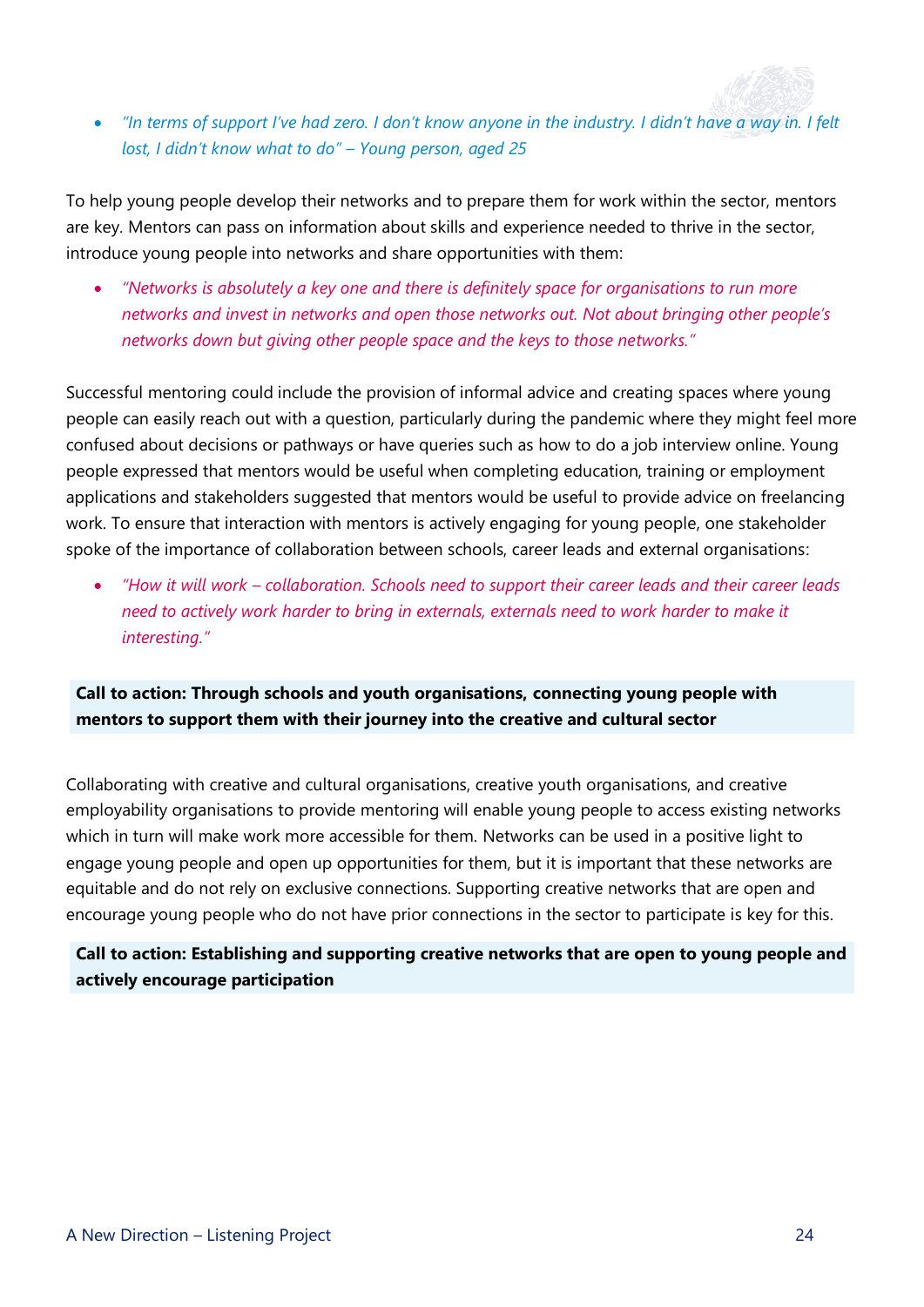• *"In terms of support I've had zero. I don't know anyone in the industry. I didn't have a way in. I felt lost, I didn't know what to do" – Young person, aged 25*

To help young people develop their networks and to prepare them for work within the sector, mentors are key. Mentors can pass on information about skills and experience needed to thrive in the sector, introduce young people into networks and share opportunities with them:

• *"Networks is absolutely a key one and there is definitely space for organisations to run more networks and invest in networks and open those networks out. Not about bringing other people's networks down but giving other people space and the keys to those networks."*

Successful mentoring could include the provision of informal advice and creating spaces where young people can easily reach out with a question, particularly during the pandemic where they might feel more confused about decisions or pathways or have queries such as how to do a job interview online. Young people expressed that mentors would be useful when completing education, training or employment applications and stakeholders suggested that mentors would be useful to provide advice on freelancing work. To ensure that interaction with mentors is actively engaging for young people, one stakeholder spoke of the importance of collaboration between schools, career leads and external organisations:

• *"How it will work – collaboration. Schools need to support their career leads and their career leads need to actively work harder to bring in externals, externals need to work harder to make it interesting."* 

#### **Call to action: Through schools and youth organisations, connecting young people with mentors to support them with their journey into the creative and cultural sector**

Collaborating with creative and cultural organisations, creative youth organisations, and creative employability organisations to provide mentoring will enable young people to access existing networks which in turn will make work more accessible for them. Networks can be used in a positive light to engage young people and open up opportunities for them, but it is important that these networks are equitable and do not rely on exclusive connections. Supporting creative networks that are open and encourage young people who do not have prior connections in the sector to participate is key for this.

#### **Call to action: Establishing and supporting creative networks that are open to young people and actively encourage participation**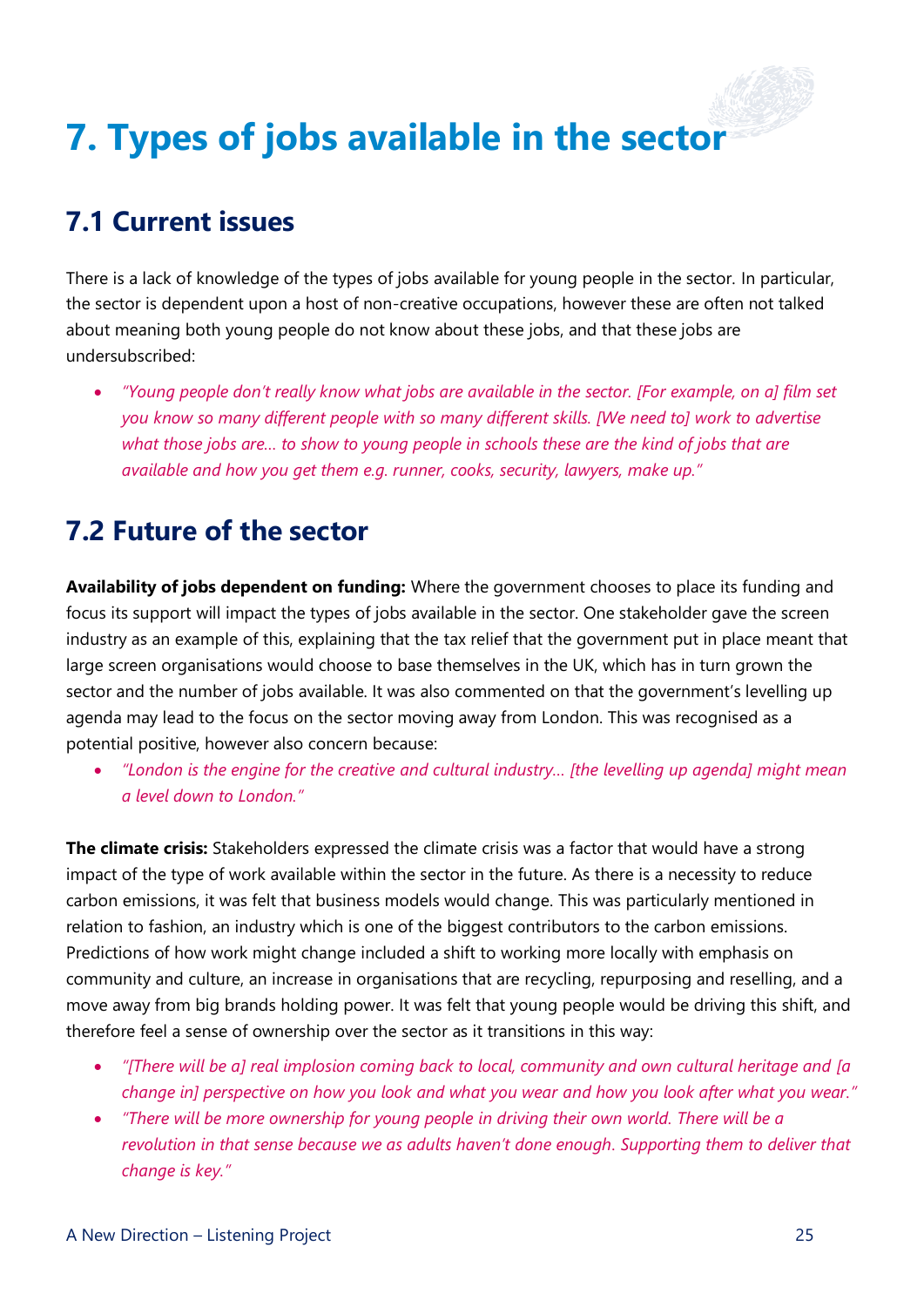## <span id="page-26-0"></span>**7. Types of jobs available in the sector**

### **7.1 Current issues**

There is a lack of knowledge of the types of jobs available for young people in the sector. In particular, the sector is dependent upon a host of non-creative occupations, however these are often not talked about meaning both young people do not know about these jobs, and that these jobs are undersubscribed:

• *"Young people don't really know what jobs are available in the sector. [For example, on a] film set you know so many different people with so many different skills. [We need to] work to advertise what those jobs are… to show to young people in schools these are the kind of jobs that are available and how you get them e.g. runner, cooks, security, lawyers, make up."*

#### **7.2 Future of the sector**

**Availability of jobs dependent on funding:** Where the government chooses to place its funding and focus its support will impact the types of jobs available in the sector. One stakeholder gave the screen industry as an example of this, explaining that the tax relief that the government put in place meant that large screen organisations would choose to base themselves in the UK, which has in turn grown the sector and the number of jobs available. It was also commented on that the government's levelling up agenda may lead to the focus on the sector moving away from London. This was recognised as a potential positive, however also concern because:

• *"London is the engine for the creative and cultural industry… [the levelling up agenda] might mean a level down to London."*

**The climate crisis:** Stakeholders expressed the climate crisis was a factor that would have a strong impact of the type of work available within the sector in the future. As there is a necessity to reduce carbon emissions, it was felt that business models would change. This was particularly mentioned in relation to fashion, an industry which is one of the biggest contributors to the carbon emissions. Predictions of how work might change included a shift to working more locally with emphasis on community and culture, an increase in organisations that are recycling, repurposing and reselling, and a move away from big brands holding power. It was felt that young people would be driving this shift, and therefore feel a sense of ownership over the sector as it transitions in this way:

- *"[There will be a] real implosion coming back to local, community and own cultural heritage and [a change in] perspective on how you look and what you wear and how you look after what you wear."*
- *"There will be more ownership for young people in driving their own world. There will be a revolution in that sense because we as adults haven't done enough. Supporting them to deliver that change is key."*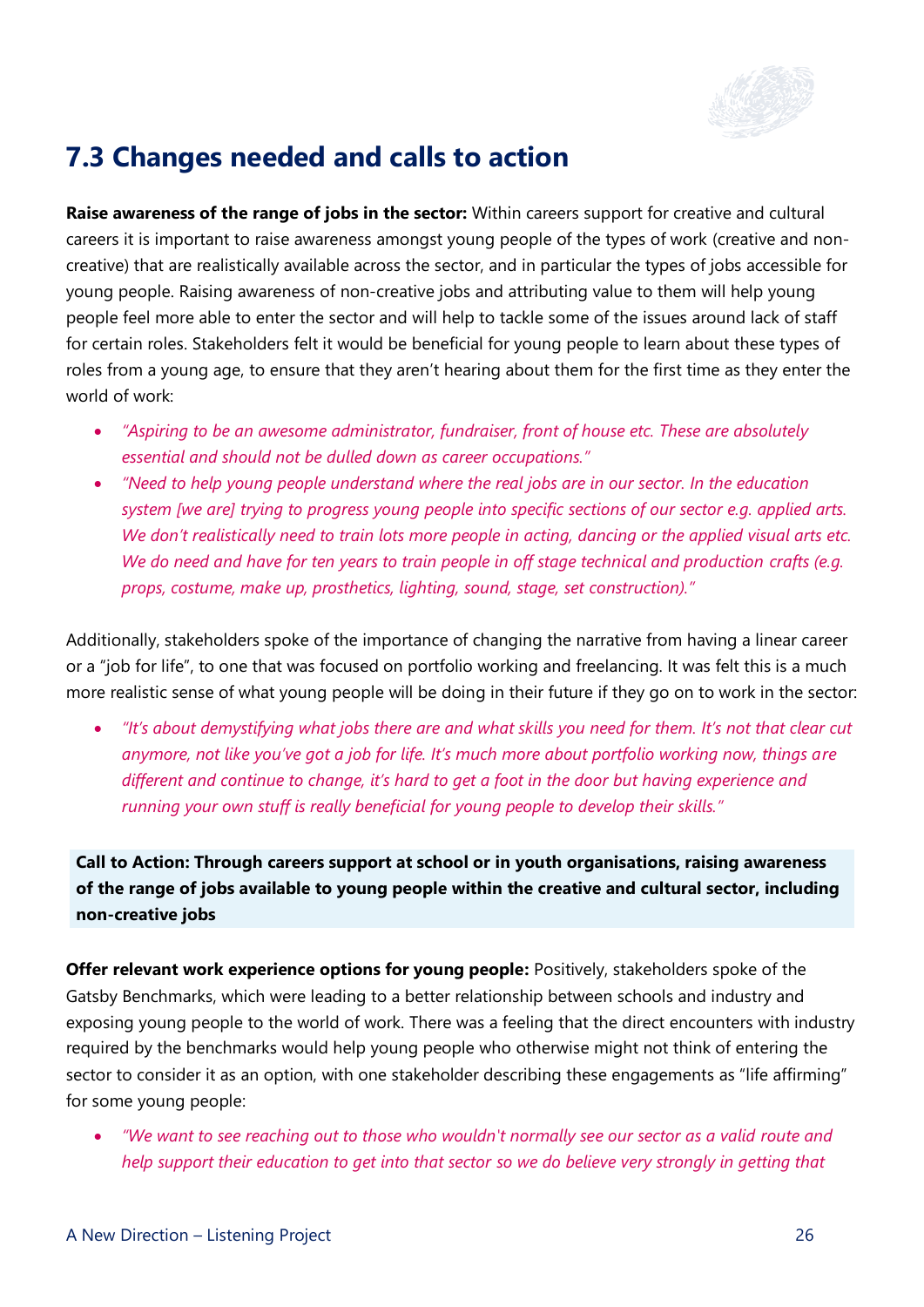

#### **7.3 Changes needed and calls to action**

**Raise awareness of the range of jobs in the sector:** Within careers support for creative and cultural careers it is important to raise awareness amongst young people of the types of work (creative and noncreative) that are realistically available across the sector, and in particular the types of jobs accessible for young people. Raising awareness of non-creative jobs and attributing value to them will help young people feel more able to enter the sector and will help to tackle some of the issues around lack of staff for certain roles. Stakeholders felt it would be beneficial for young people to learn about these types of roles from a young age, to ensure that they aren't hearing about them for the first time as they enter the world of work:

- *"Aspiring to be an awesome administrator, fundraiser, front of house etc. These are absolutely essential and should not be dulled down as career occupations."*
- *"Need to help young people understand where the real jobs are in our sector. In the education system [we are] trying to progress young people into specific sections of our sector e.g. applied arts. We don't realistically need to train lots more people in acting, dancing or the applied visual arts etc.*  We do need and have for ten years to train people in off stage technical and production crafts (e.g. *props, costume, make up, prosthetics, lighting, sound, stage, set construction)."*

Additionally, stakeholders spoke of the importance of changing the narrative from having a linear career or a "job for life", to one that was focused on portfolio working and freelancing. It was felt this is a much more realistic sense of what young people will be doing in their future if they go on to work in the sector:

• *"It's about demystifying what jobs there are and what skills you need for them. It's not that clear cut anymore, not like you've got a job for life. It's much more about portfolio working now, things are different and continue to change, it's hard to get a foot in the door but having experience and running your own stuff is really beneficial for young people to develop their skills."*

**Call to Action: Through careers support at school or in youth organisations, raising awareness of the range of jobs available to young people within the creative and cultural sector, including non-creative jobs**

**Offer relevant work experience options for young people:** Positively, stakeholders spoke of the Gatsby Benchmarks, which were leading to a better relationship between schools and industry and exposing young people to the world of work. There was a feeling that the direct encounters with industry required by the benchmarks would help young people who otherwise might not think of entering the sector to consider it as an option, with one stakeholder describing these engagements as "life affirming" for some young people:

• *"We want to see reaching out to those who wouldn't normally see our sector as a valid route and help support their education to get into that sector so we do believe very strongly in getting that*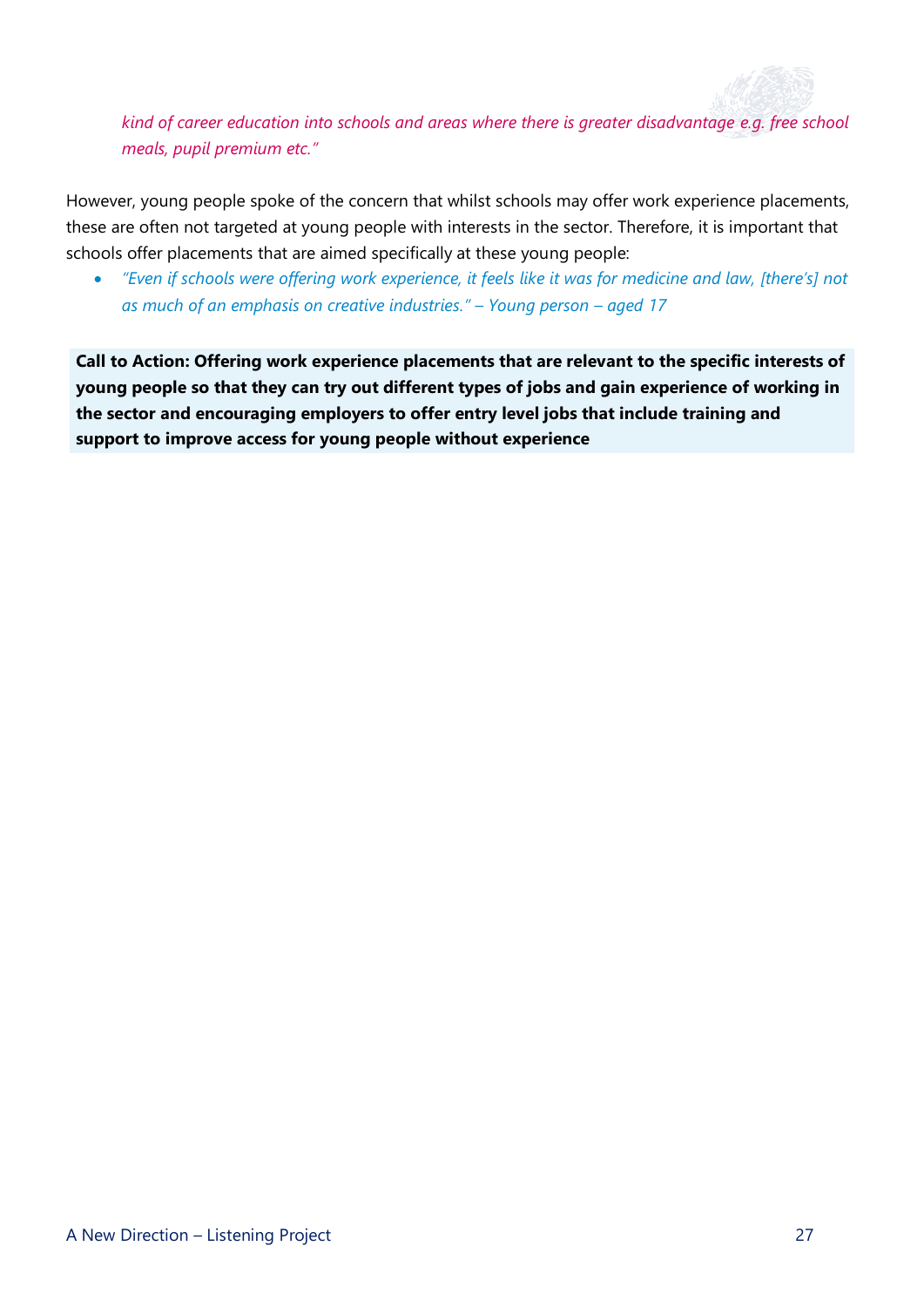*kind of career education into schools and areas where there is greater disadvantage e.g. free school meals, pupil premium etc."*

However, young people spoke of the concern that whilst schools may offer work experience placements, these are often not targeted at young people with interests in the sector. Therefore, it is important that schools offer placements that are aimed specifically at these young people:

• *"Even if schools were offering work experience, it feels like it was for medicine and law, [there's] not as much of an emphasis on creative industries." – Young person – aged 17*

<span id="page-28-0"></span>**Call to Action: Offering work experience placements that are relevant to the specific interests of young people so that they can try out different types of jobs and gain experience of working in the sector and encouraging employers to offer entry level jobs that include training and support to improve access for young people without experience**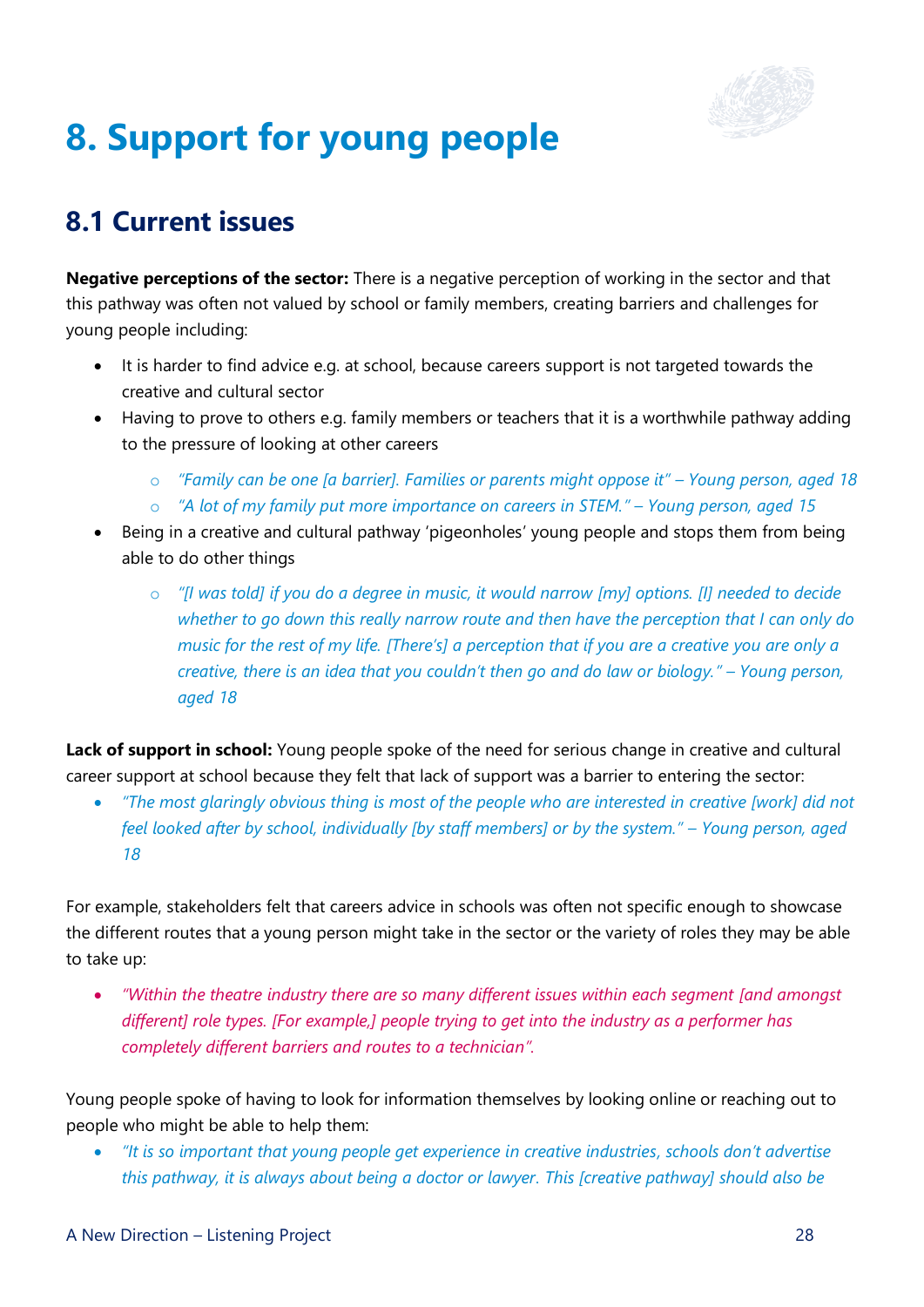

## **8. Support for young people**

### **8.1 Current issues**

**Negative perceptions of the sector:** There is a negative perception of working in the sector and that this pathway was often not valued by school or family members, creating barriers and challenges for young people including:

- It is harder to find advice e.g. at school, because careers support is not targeted towards the creative and cultural sector
- Having to prove to others e.g. family members or teachers that it is a worthwhile pathway adding to the pressure of looking at other careers
	- o *"Family can be one [a barrier]. Families or parents might oppose it" – Young person, aged 18*
	- o *"A lot of my family put more importance on careers in STEM." – Young person, aged 15*
- Being in a creative and cultural pathway 'pigeonholes' young people and stops them from being able to do other things
	- o *"[I was told] if you do a degree in music, it would narrow [my] options. [I] needed to decide whether to go down this really narrow route and then have the perception that I can only do music for the rest of my life. [There's] a perception that if you are a creative you are only a creative, there is an idea that you couldn't then go and do law or biology." – Young person, aged 18*

Lack of support in school: Young people spoke of the need for serious change in creative and cultural career support at school because they felt that lack of support was a barrier to entering the sector:

• *"The most glaringly obvious thing is most of the people who are interested in creative [work] did not feel looked after by school, individually [by staff members] or by the system." – Young person, aged 18*

For example, stakeholders felt that careers advice in schools was often not specific enough to showcase the different routes that a young person might take in the sector or the variety of roles they may be able to take up:

• *"Within the theatre industry there are so many different issues within each segment [and amongst different] role types. [For example,] people trying to get into the industry as a performer has completely different barriers and routes to a technician".*

Young people spoke of having to look for information themselves by looking online or reaching out to people who might be able to help them:

• *"It is so important that young people get experience in creative industries, schools don't advertise this pathway, it is always about being a doctor or lawyer. This [creative pathway] should also be*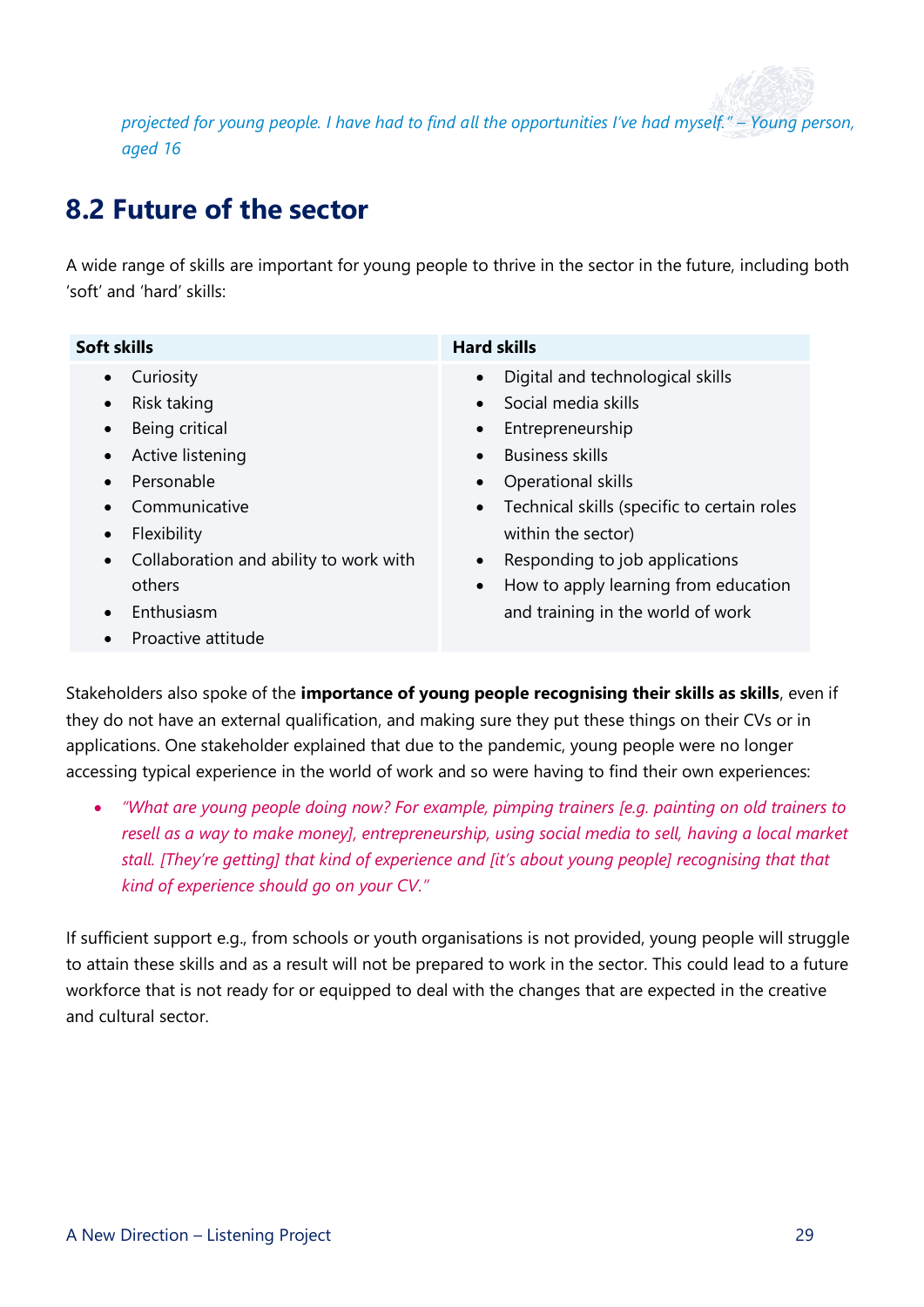*projected for young people. I have had to find all the opportunities I've had myself." – Young person, aged 16*

### **8.2 Future of the sector**

A wide range of skills are important for young people to thrive in the sector in the future, including both 'soft' and 'hard' skills:

| Soft skills                                                                                                                                                                                                                                                                                     | <b>Hard skills</b>                                                                                                                                                                                                                                                                                                                                                                                         |
|-------------------------------------------------------------------------------------------------------------------------------------------------------------------------------------------------------------------------------------------------------------------------------------------------|------------------------------------------------------------------------------------------------------------------------------------------------------------------------------------------------------------------------------------------------------------------------------------------------------------------------------------------------------------------------------------------------------------|
| Curiosity<br>$\bullet$<br>Risk taking<br>$\bullet$<br>Being critical<br>$\bullet$<br>Active listening<br>Personable<br>$\bullet$<br>Communicative<br>$\bullet$<br>Flexibility<br>$\bullet$<br>Collaboration and ability to work with<br>$\bullet$<br>others<br>Enthusiasm<br>Proactive attitude | Digital and technological skills<br>$\bullet$<br>Social media skills<br>$\bullet$<br>Entrepreneurship<br>$\bullet$<br><b>Business skills</b><br>$\bullet$<br>Operational skills<br>Technical skills (specific to certain roles<br>$\bullet$<br>within the sector)<br>Responding to job applications<br>$\bullet$<br>How to apply learning from education<br>$\bullet$<br>and training in the world of work |

Stakeholders also spoke of the **importance of young people recognising their skills as skills**, even if they do not have an external qualification, and making sure they put these things on their CVs or in applications. One stakeholder explained that due to the pandemic, young people were no longer accessing typical experience in the world of work and so were having to find their own experiences:

• *"What are young people doing now? For example, pimping trainers [e.g. painting on old trainers to resell as a way to make money], entrepreneurship, using social media to sell, having a local market stall. [They're getting] that kind of experience and [it's about young people] recognising that that kind of experience should go on your CV."*

If sufficient support e.g., from schools or youth organisations is not provided, young people will struggle to attain these skills and as a result will not be prepared to work in the sector. This could lead to a future workforce that is not ready for or equipped to deal with the changes that are expected in the creative and cultural sector.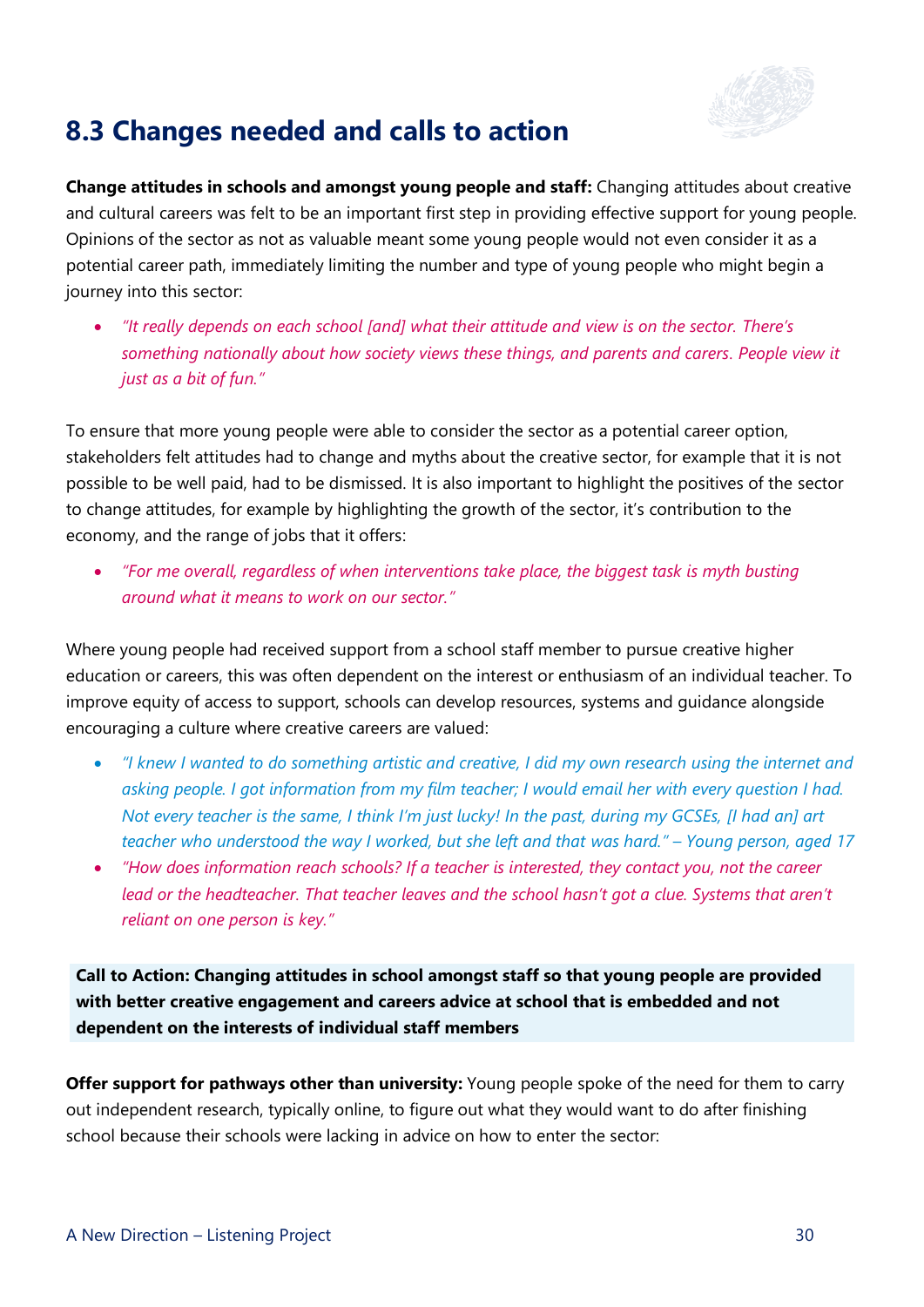

#### **8.3 Changes needed and calls to action**

**Change attitudes in schools and amongst young people and staff:** Changing attitudes about creative and cultural careers was felt to be an important first step in providing effective support for young people. Opinions of the sector as not as valuable meant some young people would not even consider it as a potential career path, immediately limiting the number and type of young people who might begin a journey into this sector:

• *"It really depends on each school [and] what their attitude and view is on the sector. There's something nationally about how society views these things, and parents and carers. People view it just as a bit of fun."*

To ensure that more young people were able to consider the sector as a potential career option, stakeholders felt attitudes had to change and myths about the creative sector, for example that it is not possible to be well paid, had to be dismissed. It is also important to highlight the positives of the sector to change attitudes, for example by highlighting the growth of the sector, it's contribution to the economy, and the range of jobs that it offers:

• *"For me overall, regardless of when interventions take place, the biggest task is myth busting around what it means to work on our sector."*

Where young people had received support from a school staff member to pursue creative higher education or careers, this was often dependent on the interest or enthusiasm of an individual teacher. To improve equity of access to support, schools can develop resources, systems and guidance alongside encouraging a culture where creative careers are valued:

- *"I knew I wanted to do something artistic and creative, I did my own research using the internet and asking people. I got information from my film teacher; I would email her with every question I had. Not every teacher is the same, I think I'm just lucky! In the past, during my GCSEs, [I had an] art teacher who understood the way I worked, but she left and that was hard." – Young person, aged 17*
- *"How does information reach schools? If a teacher is interested, they contact you, not the career lead or the headteacher. That teacher leaves and the school hasn't got a clue. Systems that aren't reliant on one person is key."*

**Call to Action: Changing attitudes in school amongst staff so that young people are provided with better creative engagement and careers advice at school that is embedded and not dependent on the interests of individual staff members**

**Offer support for pathways other than university:** Young people spoke of the need for them to carry out independent research, typically online, to figure out what they would want to do after finishing school because their schools were lacking in advice on how to enter the sector: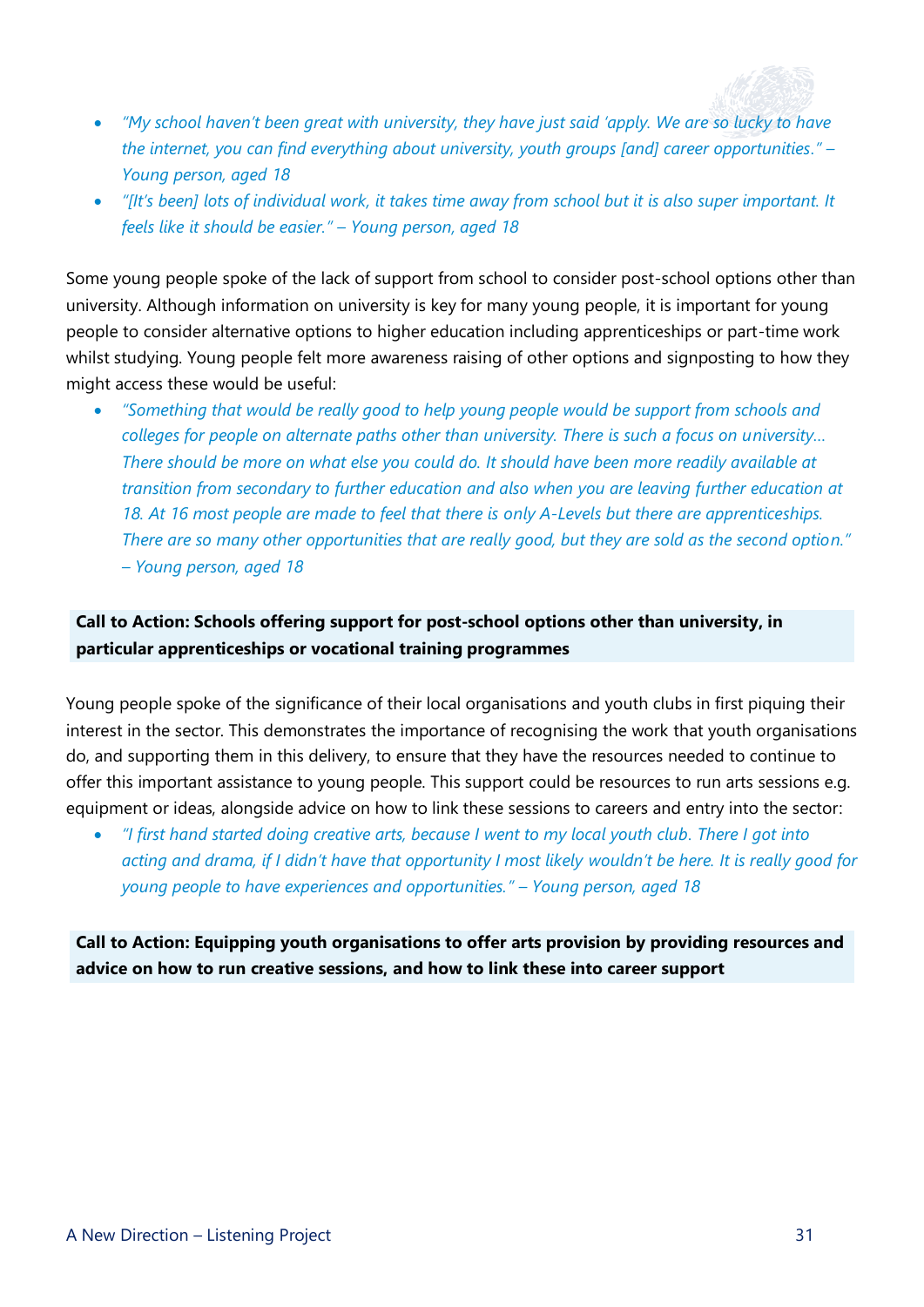

- *"My school haven't been great with university, they have just said 'apply. We are so lucky to have the internet, you can find everything about university, youth groups [and] career opportunities." – Young person, aged 18*
- *"[It's been] lots of individual work, it takes time away from school but it is also super important. It feels like it should be easier." – Young person, aged 18*

Some young people spoke of the lack of support from school to consider post-school options other than university. Although information on university is key for many young people, it is important for young people to consider alternative options to higher education including apprenticeships or part-time work whilst studying. Young people felt more awareness raising of other options and signposting to how they might access these would be useful:

• *"Something that would be really good to help young people would be support from schools and colleges for people on alternate paths other than university. There is such a focus on university… There should be more on what else you could do. It should have been more readily available at transition from secondary to further education and also when you are leaving further education at 18. At 16 most people are made to feel that there is only A-Levels but there are apprenticeships. There are so many other opportunities that are really good, but they are sold as the second option." – Young person, aged 18*

#### **Call to Action: Schools offering support for post-school options other than university, in particular apprenticeships or vocational training programmes**

Young people spoke of the significance of their local organisations and youth clubs in first piquing their interest in the sector. This demonstrates the importance of recognising the work that youth organisations do, and supporting them in this delivery, to ensure that they have the resources needed to continue to offer this important assistance to young people. This support could be resources to run arts sessions e.g. equipment or ideas, alongside advice on how to link these sessions to careers and entry into the sector:

• *"I first hand started doing creative arts, because I went to my local youth club. There I got into acting and drama, if I didn't have that opportunity I most likely wouldn't be here. It is really good for young people to have experiences and opportunities." – Young person, aged 18*

**Call to Action: Equipping youth organisations to offer arts provision by providing resources and advice on how to run creative sessions, and how to link these into career support**